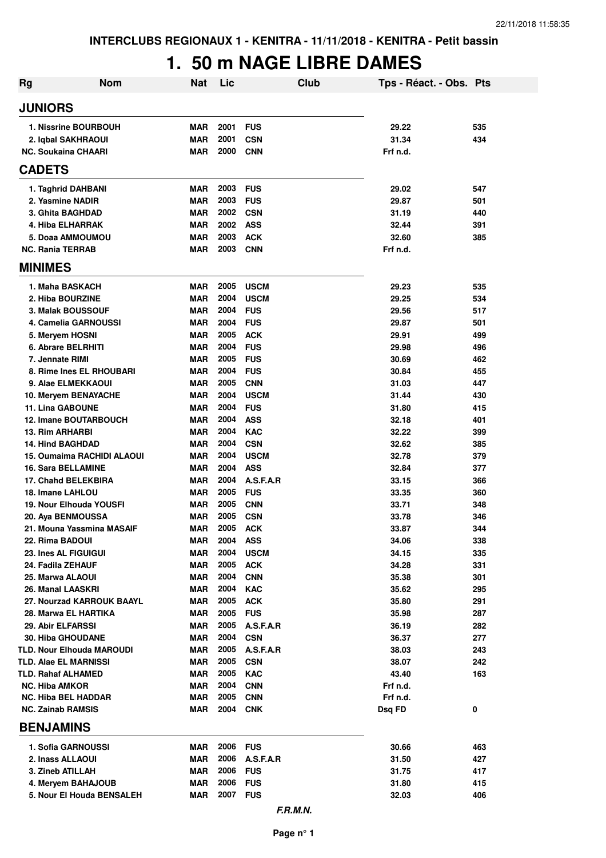# **1. 50 m NAGE LIBRE DAMES**

| Rg                                             | <b>Nom</b> | <b>Nat</b>               | Lic          | <b>Club</b>               | Tps - Réact. - Obs. Pts |            |
|------------------------------------------------|------------|--------------------------|--------------|---------------------------|-------------------------|------------|
| <b>JUNIORS</b>                                 |            |                          |              |                           |                         |            |
| 1. Nissrine BOURBOUH                           |            | <b>MAR</b>               | 2001         | <b>FUS</b>                | 29.22                   | 535        |
| 2. Iqbal SAKHRAOUI                             |            | <b>MAR</b>               | 2001         | <b>CSN</b>                | 31.34                   | 434        |
| <b>NC. Soukaina CHAARI</b>                     |            | <b>MAR</b>               | 2000         | <b>CNN</b>                | Frf n.d.                |            |
| <b>CADETS</b>                                  |            |                          |              |                           |                         |            |
| 1. Taghrid DAHBANI                             |            | <b>MAR</b>               | 2003         | <b>FUS</b>                | 29.02                   | 547        |
| 2. Yasmine NADIR                               |            | <b>MAR</b>               | 2003         | <b>FUS</b>                | 29.87                   | 501        |
| 3. Ghita BAGHDAD                               |            | <b>MAR</b>               | 2002         | <b>CSN</b>                | 31.19                   | 440        |
| 4. Hiba ELHARRAK                               |            | <b>MAR</b>               | 2002         | <b>ASS</b>                | 32.44                   | 391        |
| 5. Doaa AMMOUMOU                               |            | <b>MAR</b>               | 2003         | <b>ACK</b>                | 32.60                   | 385        |
| <b>NC. Rania TERRAB</b>                        |            | <b>MAR</b>               | 2003         | <b>CNN</b>                | Frf n.d.                |            |
| <b>MINIMES</b>                                 |            |                          |              |                           |                         |            |
| 1. Maha BASKACH                                |            | <b>MAR</b>               | 2005         | <b>USCM</b>               | 29.23                   | 535        |
| 2. Hiba BOURZINE                               |            | <b>MAR</b>               | 2004         | <b>USCM</b>               | 29.25                   | 534        |
| 3. Malak BOUSSOUF                              |            | <b>MAR</b>               | 2004         | <b>FUS</b>                | 29.56                   | 517        |
| 4. Camelia GARNOUSSI                           |            | <b>MAR</b>               | 2004         | <b>FUS</b>                | 29.87                   | 501        |
| 5. Meryem HOSNI                                |            | <b>MAR</b>               | 2005         | <b>ACK</b>                | 29.91                   | 499        |
| 6. Abrare BELRHITI                             |            | <b>MAR</b>               | 2004         | <b>FUS</b>                | 29.98                   | 496        |
| 7. Jennate RIMI                                |            | <b>MAR</b>               | 2005         | <b>FUS</b>                | 30.69                   | 462        |
| 8. Rime Ines EL RHOUBARI<br>9. Alae ELMEKKAOUI |            | <b>MAR</b><br><b>MAR</b> | 2004<br>2005 | <b>FUS</b><br><b>CNN</b>  | 30.84<br>31.03          | 455<br>447 |
| 10. Meryem BENAYACHE                           |            | <b>MAR</b>               | 2004         | <b>USCM</b>               | 31.44                   | 430        |
| <b>11. Lina GABOUNE</b>                        |            | <b>MAR</b>               | 2004         | <b>FUS</b>                | 31.80                   | 415        |
| <b>12. Imane BOUTARBOUCH</b>                   |            | <b>MAR</b>               | 2004         | <b>ASS</b>                | 32.18                   | 401        |
| <b>13. Rim ARHARBI</b>                         |            | <b>MAR</b>               | 2004         | <b>KAC</b>                | 32.22                   | 399        |
| <b>14. Hind BAGHDAD</b>                        |            | <b>MAR</b>               | 2004         | <b>CSN</b>                | 32.62                   | 385        |
| 15. Oumaima RACHIDI ALAOUI                     |            | <b>MAR</b>               | 2004         | <b>USCM</b>               | 32.78                   | 379        |
| <b>16. Sara BELLAMINE</b>                      |            | <b>MAR</b>               | 2004         | <b>ASS</b>                | 32.84                   | 377        |
| <b>17. Chahd BELEKBIRA</b>                     |            | <b>MAR</b>               | 2004         | A.S.F.A.R                 | 33.15                   | 366        |
| 18. Imane LAHLOU                               |            | <b>MAR</b>               | 2005         | <b>FUS</b>                | 33.35                   | 360        |
| 19. Nour Elhouda YOUSFI                        |            | <b>MAR</b>               | 2005         | <b>CNN</b>                | 33.71                   | 348        |
| 20. Aya BENMOUSSA                              |            | <b>MAR</b>               | 2005         | <b>CSN</b>                | 33.78                   | 346        |
| 21. Mouna Yassmina MASAIF                      |            | <b>MAR</b>               | 2005         | <b>ACK</b>                | 33.87                   | 344        |
| 22. Rima BADOUI<br>23. Ines AL FIGUIGUI        |            | MAR<br><b>MAR</b>        | 2004<br>2004 | <b>ASS</b><br><b>USCM</b> | 34.06<br>34.15          | 338<br>335 |
| 24. Fadila ZEHAUF                              |            | <b>MAR</b>               | 2005         | <b>ACK</b>                | 34.28                   | 331        |
| 25. Marwa ALAOUI                               |            | <b>MAR</b>               | 2004         | <b>CNN</b>                | 35.38                   | 301        |
| 26. Manal LAASKRI                              |            | <b>MAR</b>               | 2004         | <b>KAC</b>                | 35.62                   | 295        |
| 27. Nourzad KARROUK BAAYL                      |            | <b>MAR</b>               | 2005         | <b>ACK</b>                | 35.80                   | 291        |
| 28. Marwa EL HARTIKA                           |            | <b>MAR</b>               | 2005         | <b>FUS</b>                | 35.98                   | 287        |
| 29. Abir ELFARSSI                              |            | <b>MAR</b>               | 2005         | A.S.F.A.R                 | 36.19                   | 282        |
| <b>30. Hiba GHOUDANE</b>                       |            | MAR                      | 2004         | <b>CSN</b>                | 36.37                   | 277        |
| <b>TLD. Nour Elhouda MAROUDI</b>               |            | <b>MAR</b>               | 2005         | A.S.F.A.R                 | 38.03                   | 243        |
| <b>TLD. Alae EL MARNISSI</b>                   |            | MAR                      | 2005         | <b>CSN</b>                | 38.07                   | 242        |
| TLD. Rahaf ALHAMED                             |            | MAR                      | 2005         | <b>KAC</b>                | 43.40                   | 163        |
| <b>NC. Hiba AMKOR</b>                          |            | MAR                      | 2004         | <b>CNN</b>                | Frf n.d.                |            |
| <b>NC. Hiba BEL HADDAR</b>                     |            | MAR                      | 2005         | <b>CNN</b>                | Frf n.d.                |            |
| <b>NC. Zainab RAMSIS</b><br><b>BENJAMINS</b>   |            | MAR                      | 2004         | <b>CNK</b>                | Dsq FD                  | 0          |
| 1. Sofia GARNOUSSI                             |            | MAR                      | 2006         | <b>FUS</b>                | 30.66                   | 463        |
| 2. Inass ALLAOUI                               |            | MAR                      | 2006         | A.S.F.A.R                 | 31.50                   | 427        |
| 3. Zineb ATILLAH                               |            | <b>MAR</b>               | 2006         | <b>FUS</b>                | 31.75                   | 417        |
| 4. Meryem BAHAJOUB                             |            | <b>MAR</b>               | 2006         | <b>FUS</b>                | 31.80                   | 415        |
| 5. Nour El Houda BENSALEH                      |            | <b>MAR</b>               | 2007         | <b>FUS</b>                | 32.03                   | 406        |
|                                                |            |                          |              | F.R.M.N.                  |                         |            |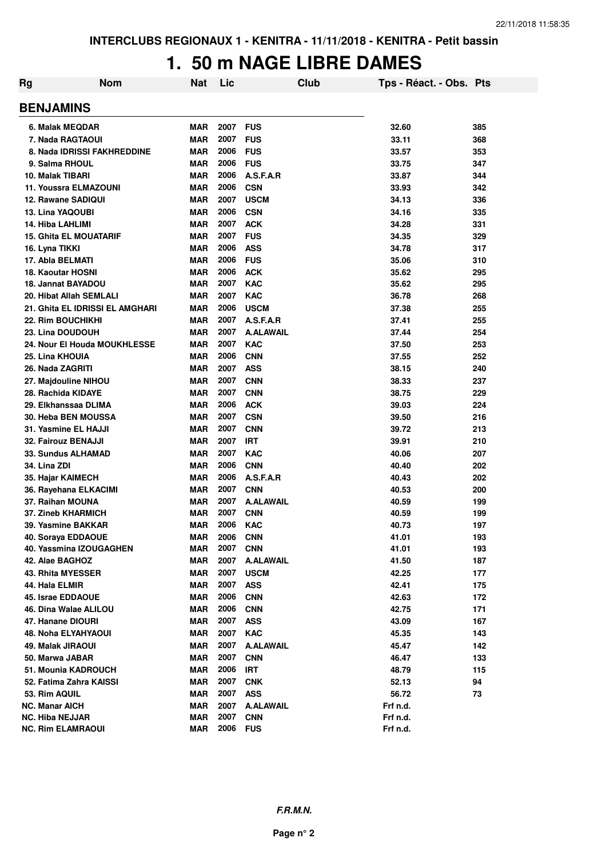### **1. 50 m NAGE LIBRE DAMES**

| Rg | <b>Nom</b>                      | <b>Nat</b> | Lic  | Club             | Tps - Réact. - Obs. Pts |     |
|----|---------------------------------|------------|------|------------------|-------------------------|-----|
|    | <b>BENJAMINS</b>                |            |      |                  |                         |     |
|    | 6. Malak MEQDAR                 | <b>MAR</b> | 2007 | <b>FUS</b>       | 32.60                   | 385 |
|    | 7. Nada RAGTAOUI                | <b>MAR</b> | 2007 | <b>FUS</b>       | 33.11                   | 368 |
|    | 8. Nada IDRISSI FAKHREDDINE     | <b>MAR</b> | 2006 | <b>FUS</b>       | 33.57                   | 353 |
|    | 9. Salma RHOUL                  | <b>MAR</b> | 2006 | <b>FUS</b>       | 33.75                   | 347 |
|    | 10. Malak TIBARI                | <b>MAR</b> | 2006 | A.S.F.A.R        | 33.87                   | 344 |
|    | 11. Youssra ELMAZOUNI           | <b>MAR</b> | 2006 | <b>CSN</b>       | 33.93                   | 342 |
|    | <b>12. Rawane SADIQUI</b>       | <b>MAR</b> | 2007 | <b>USCM</b>      | 34.13                   | 336 |
|    | 13. Lina YAQOUBI                | <b>MAR</b> | 2006 | <b>CSN</b>       | 34.16                   | 335 |
|    | 14. Hiba LAHLIMI                | <b>MAR</b> | 2007 | <b>ACK</b>       | 34.28                   | 331 |
|    | <b>15. Ghita EL MOUATARIF</b>   | <b>MAR</b> | 2007 | <b>FUS</b>       | 34.35                   | 329 |
|    | 16. Lyna TIKKI                  | <b>MAR</b> | 2006 | <b>ASS</b>       | 34.78                   | 317 |
|    | 17. Abla BELMATI                | <b>MAR</b> | 2006 | <b>FUS</b>       | 35.06                   | 310 |
|    | <b>18. Kaoutar HOSNI</b>        | <b>MAR</b> | 2006 | <b>ACK</b>       | 35.62                   | 295 |
|    | 18. Jannat BAYADOU              | <b>MAR</b> | 2007 | <b>KAC</b>       | 35.62                   | 295 |
|    | 20. Hibat Allah SEMLALI         | <b>MAR</b> | 2007 | <b>KAC</b>       | 36.78                   | 268 |
|    | 21. Ghita EL IDRISSI EL AMGHARI | <b>MAR</b> | 2006 | <b>USCM</b>      | 37.38                   | 255 |
|    | <b>22. Rim BOUCHIKHI</b>        | <b>MAR</b> | 2007 | A.S.F.A.R        | 37.41                   | 255 |
|    | 23. Lina DOUDOUH                | <b>MAR</b> | 2007 | <b>A.ALAWAIL</b> | 37.44                   | 254 |
|    | 24. Nour El Houda MOUKHLESSE    | <b>MAR</b> | 2007 | <b>KAC</b>       | 37.50                   | 253 |
|    | 25. Lina KHOUIA                 | <b>MAR</b> | 2006 | <b>CNN</b>       | 37.55                   | 252 |
|    | 26. Nada ZAGRITI                | <b>MAR</b> | 2007 | <b>ASS</b>       | 38.15                   | 240 |
|    | 27. Majdouline NIHOU            | <b>MAR</b> | 2007 | <b>CNN</b>       | 38.33                   | 237 |
|    | 28. Rachida KIDAYE              | <b>MAR</b> | 2007 | <b>CNN</b>       | 38.75                   | 229 |
|    | 29. Elkhanssaa DLIMA            | <b>MAR</b> | 2006 | <b>ACK</b>       | 39.03                   | 224 |
|    | 30. Heba BEN MOUSSA             | <b>MAR</b> | 2007 | <b>CSN</b>       | 39.50                   | 216 |
|    | 31. Yasmine EL HAJJI            | <b>MAR</b> | 2007 | <b>CNN</b>       | 39.72                   | 213 |
|    | 32. Fairouz BENAJJI             | <b>MAR</b> | 2007 | <b>IRT</b>       | 39.91                   | 210 |
|    | 33. Sundus ALHAMAD              | <b>MAR</b> | 2007 | <b>KAC</b>       | 40.06                   | 207 |
|    | 34. Lina ZDI                    | <b>MAR</b> | 2006 | <b>CNN</b>       | 40.40                   | 202 |
|    | 35. Hajar KAIMECH               | <b>MAR</b> | 2006 | A.S.F.A.R        | 40.43                   | 202 |
|    | 36. Rayehana ELKACIMI           | <b>MAR</b> | 2007 | <b>CNN</b>       | 40.53                   | 200 |
|    | 37. Raihan MOUNA                | <b>MAR</b> | 2007 | <b>A.ALAWAIL</b> | 40.59                   | 199 |
|    | 37. Zineb KHARMICH              | <b>MAR</b> | 2007 | <b>CNN</b>       | 40.59                   | 199 |
|    | 39. Yasmine BAKKAR              | <b>MAR</b> | 2006 | <b>KAC</b>       | 40.73                   | 197 |
|    | 40. Soraya EDDAOUE              | <b>MAR</b> | 2006 | <b>CNN</b>       | 41.01                   | 193 |
|    | 40. Yassmina IZOUGAGHEN         | <b>MAR</b> | 2007 | <b>CNN</b>       | 41.01                   | 193 |
|    | 42. Alae BAGHOZ                 | <b>MAR</b> | 2007 | <b>A.ALAWAIL</b> | 41.50                   | 187 |
|    | 43. Rhita MYESSER               | <b>MAR</b> | 2007 | <b>USCM</b>      | 42.25                   | 177 |
|    | 44. Hala ELMIR                  | <b>MAR</b> | 2007 | <b>ASS</b>       | 42.41                   | 175 |
|    | 45. Israe EDDAOUE               | <b>MAR</b> | 2006 | <b>CNN</b>       | 42.63                   | 172 |
|    | 46. Dina Walae ALILOU           | <b>MAR</b> | 2006 | <b>CNN</b>       | 42.75                   | 171 |
|    | 47. Hanane DIOURI               | <b>MAR</b> | 2007 | <b>ASS</b>       | 43.09                   | 167 |
|    | <b>48. Noha ELYAHYAOUI</b>      | <b>MAR</b> | 2007 | <b>KAC</b>       | 45.35                   | 143 |
|    | 49. Malak JIRAOUI               | <b>MAR</b> | 2007 | <b>A.ALAWAIL</b> | 45.47                   | 142 |
|    | 50. Marwa JABAR                 | <b>MAR</b> | 2007 | <b>CNN</b>       | 46.47                   | 133 |
|    | 51. Mounia KADROUCH             | <b>MAR</b> | 2006 | <b>IRT</b>       | 48.79                   | 115 |
|    | 52. Fatima Zahra KAISSI         | <b>MAR</b> | 2007 | <b>CNK</b>       | 52.13                   | 94  |
|    | 53. Rim AQUIL                   | <b>MAR</b> | 2007 | <b>ASS</b>       | 56.72                   | 73  |
|    | <b>NC. Manar AICH</b>           | <b>MAR</b> | 2007 | <b>A.ALAWAIL</b> | Frf n.d.                |     |
|    | <b>NC. Hiba NEJJAR</b>          | <b>MAR</b> | 2007 | <b>CNN</b>       | Frf n.d.                |     |
|    | <b>NC. Rim ELAMRAOUI</b>        | <b>MAR</b> | 2006 | <b>FUS</b>       | Frf n.d.                |     |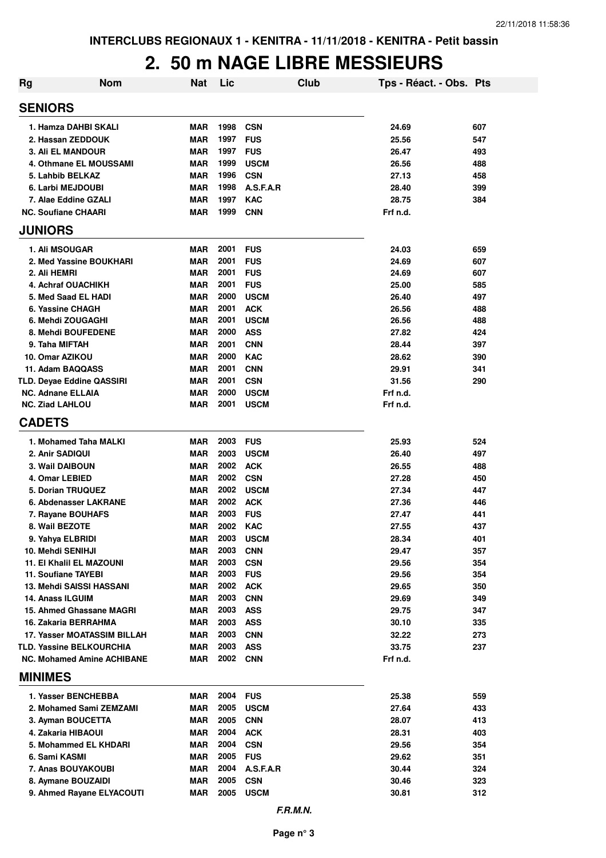### **2. 50 m NAGE LIBRE MESSIEURS**

| <b>Rg</b>                                               | <b>Nom</b> | <b>Nat</b> | Lic          |             | Club | Tps - Réact. - Obs. Pts |     |
|---------------------------------------------------------|------------|------------|--------------|-------------|------|-------------------------|-----|
| <b>SENIORS</b>                                          |            |            |              |             |      |                         |     |
| 1. Hamza DAHBI SKALI                                    |            | MAR        | 1998         | <b>CSN</b>  |      | 24.69                   | 607 |
| 2. Hassan ZEDDOUK                                       |            | <b>MAR</b> | 1997         | <b>FUS</b>  |      | 25.56                   | 547 |
| <b>3. Ali EL MANDOUR</b>                                |            | <b>MAR</b> | 1997         | <b>FUS</b>  |      | 26.47                   | 493 |
| 4. Othmane EL MOUSSAMI                                  |            | <b>MAR</b> | 1999         | <b>USCM</b> |      | 26.56                   | 488 |
| 5. Lahbib BELKAZ                                        |            | <b>MAR</b> | 1996         | <b>CSN</b>  |      | 27.13                   | 458 |
| 6. Larbi MEJDOUBI                                       |            | <b>MAR</b> | 1998         | A.S.F.A.R   |      | 28.40                   | 399 |
| 7. Alae Eddine GZALI                                    |            | <b>MAR</b> | 1997         | <b>KAC</b>  |      | 28.75                   | 384 |
| <b>NC. Soufiane CHAARI</b>                              |            | <b>MAR</b> | 1999         | <b>CNN</b>  |      | Frf n.d.                |     |
| <b>JUNIORS</b>                                          |            |            |              |             |      |                         |     |
| 1. Ali MSOUGAR                                          |            | <b>MAR</b> | 2001         | <b>FUS</b>  |      | 24.03                   | 659 |
| 2. Med Yassine BOUKHARI                                 |            | <b>MAR</b> | 2001         | <b>FUS</b>  |      | 24.69                   | 607 |
| 2. Ali HEMRI                                            |            | <b>MAR</b> | 2001         | <b>FUS</b>  |      | 24.69                   | 607 |
| 4. Achraf OUACHIKH                                      |            | <b>MAR</b> | 2001         | <b>FUS</b>  |      | 25.00                   | 585 |
| 5. Med Saad EL HADI                                     |            | <b>MAR</b> | 2000         | <b>USCM</b> |      | 26.40                   | 497 |
| 6. Yassine CHAGH                                        |            | <b>MAR</b> | 2001         | <b>ACK</b>  |      | 26.56                   | 488 |
| 6. Mehdi ZOUGAGHI                                       |            | <b>MAR</b> | 2001         | <b>USCM</b> |      | 26.56                   | 488 |
| 8. Mehdi BOUFEDENE                                      |            | <b>MAR</b> | 2000         | <b>ASS</b>  |      | 27.82                   | 424 |
| 9. Taha MIFTAH                                          |            | <b>MAR</b> | 2001         | <b>CNN</b>  |      | 28.44                   | 397 |
| 10. Omar AZIKOU                                         |            | <b>MAR</b> | 2000         | <b>KAC</b>  |      | 28.62                   | 390 |
| 11. Adam BAQQASS                                        |            | <b>MAR</b> | 2001         | <b>CNN</b>  |      | 29.91                   | 341 |
| <b>TLD. Deyae Eddine QASSIRI</b>                        |            | <b>MAR</b> | 2001         | <b>CSN</b>  |      | 31.56                   | 290 |
| <b>NC. Adnane ELLAIA</b>                                |            | <b>MAR</b> | 2000         | <b>USCM</b> |      | Frf n.d.                |     |
| <b>NC. Ziad LAHLOU</b>                                  |            | <b>MAR</b> | 2001         | <b>USCM</b> |      | Frf n.d.                |     |
| <b>CADETS</b>                                           |            |            |              |             |      |                         |     |
| 1. Mohamed Taha MALKI                                   |            | <b>MAR</b> | 2003         | <b>FUS</b>  |      | 25.93                   | 524 |
| 2. Anir SADIQUI                                         |            | MAR        | 2003         | <b>USCM</b> |      | 26.40                   | 497 |
| 3. Wail DAIBOUN                                         |            | MAR        | 2002         | <b>ACK</b>  |      | 26.55                   | 488 |
| 4. Omar LEBIED                                          |            | <b>MAR</b> | 2002         | <b>CSN</b>  |      | 27.28                   | 450 |
| 5. Dorian TRUQUEZ                                       |            | <b>MAR</b> | 2002         | <b>USCM</b> |      | 27.34                   | 447 |
| 6. Abdenasser LAKRANE                                   |            | <b>MAR</b> | 2002         | <b>ACK</b>  |      | 27.36                   | 446 |
| 7. Rayane BOUHAFS                                       |            | MAR        | 2003         | <b>FUS</b>  |      | 27.47                   | 441 |
| 8. Wail BEZOTE                                          |            | MAR        | 2002         | <b>KAC</b>  |      | 27.55                   | 437 |
| 9. Yahya ELBRIDI                                        |            | MAR        | 2003         | <b>USCM</b> |      | 28.34                   | 401 |
| 10. Mehdi SENIHJI                                       |            | MAR        | 2003         | <b>CNN</b>  |      | 29.47                   | 357 |
| <b>11. El Khalil EL MAZOUNI</b>                         |            | MAR        | 2003         | <b>CSN</b>  |      | 29.56                   | 354 |
| 11. Soufiane TAYEBI                                     |            | <b>MAR</b> | 2003         | <b>FUS</b>  |      | 29.56                   | 354 |
| <b>13. Mehdi SAISSI HASSANI</b>                         |            | <b>MAR</b> | 2002         | <b>ACK</b>  |      | 29.65                   | 350 |
| 14. Anass ILGUIM                                        |            | <b>MAR</b> | 2003         | <b>CNN</b>  |      | 29.69                   | 349 |
| 15. Ahmed Ghassane MAGRI                                |            | MAR        | 2003         | <b>ASS</b>  |      | 29.75                   | 347 |
| 16. Zakaria BERRAHMA                                    |            | MAR        | 2003         | <b>ASS</b>  |      | 30.10                   | 335 |
| 17. Yasser MOATASSIM BILLAH<br>TLD. Yassine BELKOURCHIA |            | MAR        | 2003<br>2003 | <b>CNN</b>  |      | 32.22                   | 273 |
|                                                         |            | <b>MAR</b> | 2002 CNN     | <b>ASS</b>  |      | 33.75                   | 237 |
| <b>NC. Mohamed Amine ACHIBANE</b>                       |            | MAR        |              |             |      | Frf n.d.                |     |
| <b>MINIMES</b>                                          |            |            |              |             |      |                         |     |
| 1. Yasser BENCHEBBA                                     |            | <b>MAR</b> | 2004         | <b>FUS</b>  |      | 25.38                   | 559 |
| 2. Mohamed Sami ZEMZAMI                                 |            | MAR        | 2005         | <b>USCM</b> |      | 27.64                   | 433 |
| 3. Ayman BOUCETTA                                       |            | MAR        | 2005         | <b>CNN</b>  |      | 28.07                   | 413 |
| 4. Zakaria HIBAOUI                                      |            | MAR        | 2004         | <b>ACK</b>  |      | 28.31                   | 403 |
| 5. Mohammed EL KHDARI                                   |            | MAR        | 2004         | <b>CSN</b>  |      | 29.56                   | 354 |
| 6. Sami KASMI                                           |            | MAR        | 2005         | <b>FUS</b>  |      | 29.62                   | 351 |
| 7. Anas BOUYAKOUBI                                      |            | MAR        | 2004         | A.S.F.A.R   |      | 30.44                   | 324 |
| 8. Aymane BOUZAIDI                                      |            | <b>MAR</b> | 2005         | <b>CSN</b>  |      | 30.46                   | 323 |
| 9. Ahmed Rayane ELYACOUTI                               |            | MAR        | 2005         | <b>USCM</b> |      | 30.81                   | 312 |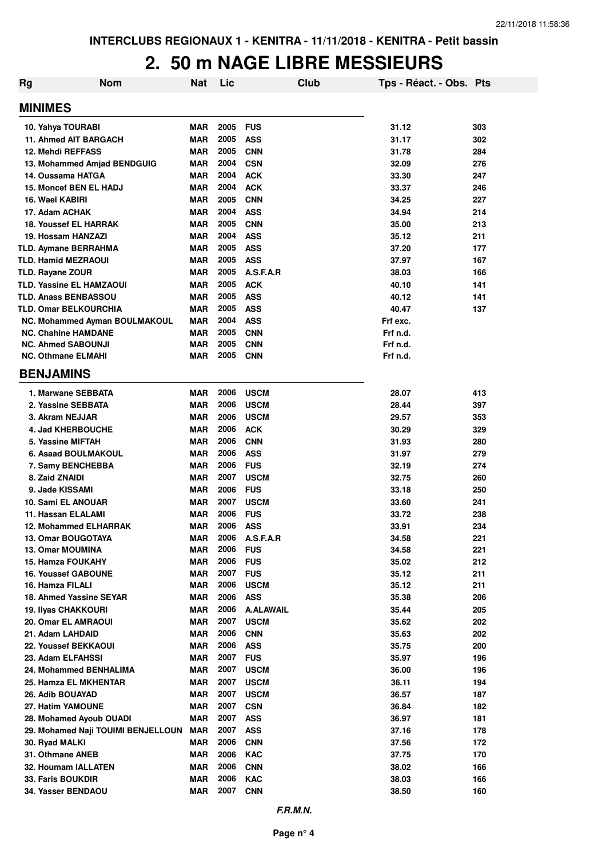### **2. 50 m NAGE LIBRE MESSIEURS**

| <b>Nom</b><br>Rg                   | <b>Nat</b> | Lic  | <b>Club</b>      | Tps - Réact. - Obs. Pts |     |
|------------------------------------|------------|------|------------------|-------------------------|-----|
| <b>MINIMES</b>                     |            |      |                  |                         |     |
| 10. Yahya TOURABI                  | <b>MAR</b> | 2005 | <b>FUS</b>       | 31.12                   | 303 |
| <b>11. Ahmed AIT BARGACH</b>       | <b>MAR</b> | 2005 | <b>ASS</b>       | 31.17                   | 302 |
| 12. Mehdi REFFASS                  | <b>MAR</b> | 2005 | <b>CNN</b>       | 31.78                   | 284 |
| 13. Mohammed Amjad BENDGUIG        | <b>MAR</b> | 2004 | <b>CSN</b>       | 32.09                   | 276 |
| 14. Oussama HATGA                  | <b>MAR</b> | 2004 | <b>ACK</b>       | 33.30                   | 247 |
| 15. Moncef BEN EL HADJ             | <b>MAR</b> | 2004 | <b>ACK</b>       | 33.37                   | 246 |
| 16. Wael KABIRI                    | <b>MAR</b> | 2005 | <b>CNN</b>       | 34.25                   | 227 |
| 17. Adam ACHAK                     | <b>MAR</b> | 2004 | <b>ASS</b>       | 34.94                   | 214 |
| <b>18. Youssef EL HARRAK</b>       | <b>MAR</b> | 2005 | <b>CNN</b>       | 35.00                   | 213 |
| 19. Hossam HANZAZI                 | <b>MAR</b> | 2004 | <b>ASS</b>       | 35.12                   | 211 |
| <b>TLD. Aymane BERRAHMA</b>        | <b>MAR</b> | 2005 | <b>ASS</b>       | 37.20                   | 177 |
| <b>TLD. Hamid MEZRAOUI</b>         | <b>MAR</b> | 2005 | <b>ASS</b>       | 37.97                   | 167 |
| TLD. Rayane ZOUR                   | <b>MAR</b> | 2005 | A.S.F.A.R        | 38.03                   | 166 |
| <b>TLD. Yassine EL HAMZAOUI</b>    | <b>MAR</b> | 2005 | <b>ACK</b>       | 40.10                   | 141 |
| <b>TLD. Anass BENBASSOU</b>        | <b>MAR</b> | 2005 | <b>ASS</b>       | 40.12                   | 141 |
| <b>TLD. Omar BELKOURCHIA</b>       | <b>MAR</b> | 2005 | <b>ASS</b>       | 40.47                   | 137 |
| NC. Mohammed Ayman BOULMAKOUL      | <b>MAR</b> | 2004 | <b>ASS</b>       | Frf exc.                |     |
| <b>NC. Chahine HAMDANE</b>         | <b>MAR</b> | 2005 | <b>CNN</b>       | Frf n.d.                |     |
| <b>NC. Ahmed SABOUNJI</b>          | <b>MAR</b> | 2005 | <b>CNN</b>       | Frf n.d.                |     |
| <b>NC. Othmane ELMAHI</b>          | <b>MAR</b> | 2005 | <b>CNN</b>       | Frf n.d.                |     |
| <b>BENJAMINS</b>                   |            |      |                  |                         |     |
| 1. Marwane SEBBATA                 | <b>MAR</b> | 2006 | <b>USCM</b>      | 28.07                   | 413 |
| 2. Yassine SEBBATA                 | <b>MAR</b> | 2006 | <b>USCM</b>      | 28.44                   | 397 |
| 3. Akram NEJJAR                    | <b>MAR</b> | 2006 | <b>USCM</b>      | 29.57                   | 353 |
| 4. Jad KHERBOUCHE                  | <b>MAR</b> | 2006 | <b>ACK</b>       | 30.29                   | 329 |
| 5. Yassine MIFTAH                  | <b>MAR</b> | 2006 | <b>CNN</b>       | 31.93                   | 280 |
| <b>6. Asaad BOULMAKOUL</b>         | <b>MAR</b> | 2006 | <b>ASS</b>       | 31.97                   | 279 |
| 7. Samy BENCHEBBA                  | <b>MAR</b> | 2006 | <b>FUS</b>       | 32.19                   | 274 |
| 8. Zaid ZNAIDI                     | <b>MAR</b> | 2007 | <b>USCM</b>      | 32.75                   | 260 |
| 9. Jade KISSAMI                    | <b>MAR</b> | 2006 | <b>FUS</b>       | 33.18                   | 250 |
| 10. Sami EL ANOUAR                 | <b>MAR</b> | 2007 | <b>USCM</b>      | 33.60                   | 241 |
| 11. Hassan ELALAMI                 | <b>MAR</b> | 2006 | <b>FUS</b>       | 33.72                   | 238 |
| <b>12. Mohammed ELHARRAK</b>       | <b>MAR</b> | 2006 | <b>ASS</b>       | 33.91                   | 234 |
| 13. Omar BOUGOTAYA                 | <b>MAR</b> | 2006 | A.S.F.A.R        | 34.58                   | 221 |
| 13. Omar MOUMINA                   | <b>MAR</b> | 2006 | <b>FUS</b>       | 34.58                   | 221 |
| 15. Hamza FOUKAHY                  | <b>MAR</b> | 2006 | <b>FUS</b>       | 35.02                   | 212 |
| <b>16. Youssef GABOUNE</b>         | <b>MAR</b> | 2007 | <b>FUS</b>       | 35.12                   | 211 |
| 16. Hamza FILALI                   | <b>MAR</b> | 2006 | <b>USCM</b>      | 35.12                   | 211 |
| 18. Ahmed Yassine SEYAR            | <b>MAR</b> | 2006 | <b>ASS</b>       | 35.38                   | 206 |
| <b>19. Ilyas CHAKKOURI</b>         | <b>MAR</b> | 2006 | <b>A.ALAWAIL</b> | 35.44                   | 205 |
| 20. Omar EL AMRAOUI                | <b>MAR</b> | 2007 | <b>USCM</b>      | 35.62                   | 202 |
| 21. Adam LAHDAID                   | <b>MAR</b> | 2006 | <b>CNN</b>       | 35.63                   | 202 |
| 22. Youssef BEKKAOUI               | <b>MAR</b> | 2006 | <b>ASS</b>       | 35.75                   | 200 |
| 23. Adam ELFAHSSI                  | <b>MAR</b> | 2007 | <b>FUS</b>       | 35.97                   | 196 |
| 24. Mohammed BENHALIMA             | <b>MAR</b> | 2007 | <b>USCM</b>      | 36.00                   | 196 |
| 25. Hamza EL MKHENTAR              | <b>MAR</b> | 2007 | <b>USCM</b>      | 36.11                   | 194 |
| 26. Adib BOUAYAD                   | <b>MAR</b> | 2007 | <b>USCM</b>      | 36.57                   | 187 |
| 27. Hatim YAMOUNE                  | <b>MAR</b> | 2007 | <b>CSN</b>       | 36.84                   | 182 |
| 28. Mohamed Ayoub OUADI            | <b>MAR</b> | 2007 | <b>ASS</b>       | 36.97                   | 181 |
| 29. Mohamed Naji TOUIMI BENJELLOUN | <b>MAR</b> | 2007 | <b>ASS</b>       | 37.16                   | 178 |
| 30. Ryad MALKI                     | <b>MAR</b> | 2006 | <b>CNN</b>       | 37.56                   | 172 |
| 31. Othmane ANEB                   | <b>MAR</b> | 2006 | <b>KAC</b>       | 37.75                   | 170 |
| 32. Houmam IALLATEN                | <b>MAR</b> | 2006 | <b>CNN</b>       | 38.02                   | 166 |
| 33. Faris BOUKDIR                  | <b>MAR</b> | 2006 | <b>KAC</b>       | 38.03                   | 166 |
| 34. Yasser BENDAOU                 | MAR        | 2007 | <b>CNN</b>       | 38.50                   | 160 |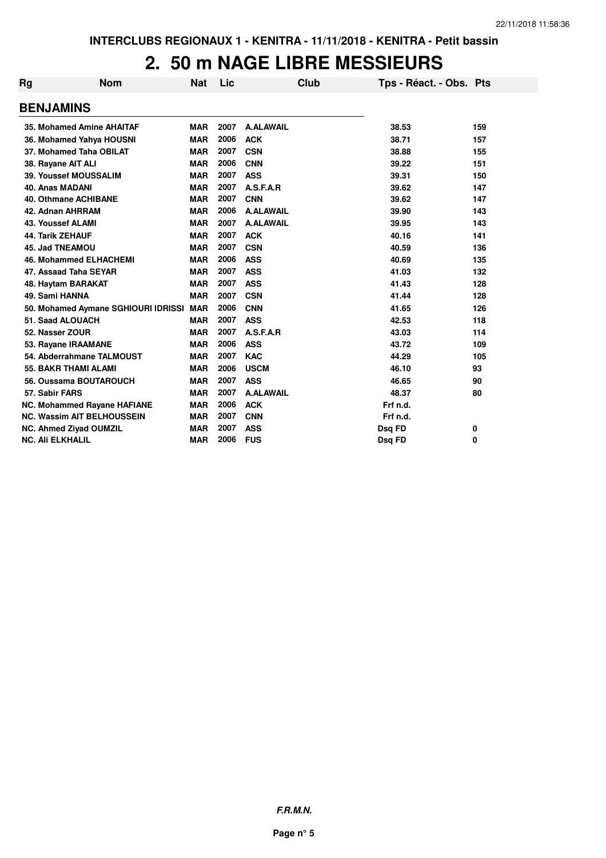### **2. 50 m NAGE LIBRE MESSIEURS**

| Rg | <b>Nom</b>                          | Nat        | Lic  |                  | Club | Tps - Réact. - Obs. Pts |     |
|----|-------------------------------------|------------|------|------------------|------|-------------------------|-----|
|    | <b>BENJAMINS</b>                    |            |      |                  |      |                         |     |
|    | 35. Mohamed Amine AHAITAF           | <b>MAR</b> | 2007 | <b>A.ALAWAIL</b> |      | 38.53                   | 159 |
|    | 36. Mohamed Yahya HOUSNI            | <b>MAR</b> | 2006 | <b>ACK</b>       |      | 38.71                   | 157 |
|    | 37. Mohamed Taha OBILAT             | <b>MAR</b> | 2007 | <b>CSN</b>       |      | 38.88                   | 155 |
|    | 38. Rayane AIT ALI                  | <b>MAR</b> | 2006 | <b>CNN</b>       |      | 39.22                   | 151 |
|    | <b>39. Youssef MOUSSALIM</b>        | <b>MAR</b> | 2007 | <b>ASS</b>       |      | 39.31                   | 150 |
|    | <b>40. Anas MADANI</b>              | <b>MAR</b> | 2007 | A.S.F.A.R        |      | 39.62                   | 147 |
|    | <b>40. Othmane ACHIBANE</b>         | <b>MAR</b> | 2007 | <b>CNN</b>       |      | 39.62                   | 147 |
|    | 42. Adnan AHRRAM                    | <b>MAR</b> | 2006 | <b>A.ALAWAIL</b> |      | 39.90                   | 143 |
|    | <b>43. Youssef ALAMI</b>            | <b>MAR</b> | 2007 | <b>A.ALAWAIL</b> |      | 39.95                   | 143 |
|    | <b>44. Tarik ZEHAUF</b>             | <b>MAR</b> | 2007 | <b>ACK</b>       |      | 40.16                   | 141 |
|    | <b>45. Jad TNEAMOU</b>              | <b>MAR</b> | 2007 | <b>CSN</b>       |      | 40.59                   | 136 |
|    | <b>46. Mohammed ELHACHEMI</b>       | <b>MAR</b> | 2006 | <b>ASS</b>       |      | 40.69                   | 135 |
|    | 47. Assaad Taha SEYAR               | <b>MAR</b> | 2007 | <b>ASS</b>       |      | 41.03                   | 132 |
|    | 48. Haytam BARAKAT                  | <b>MAR</b> | 2007 | <b>ASS</b>       |      | 41.43                   | 128 |
|    | 49. Sami HANNA                      | <b>MAR</b> | 2007 | <b>CSN</b>       |      | 41.44                   | 128 |
|    | 50. Mohamed Aymane SGHIOURI IDRISSI | <b>MAR</b> | 2006 | <b>CNN</b>       |      | 41.65                   | 126 |
|    | 51. Saad ALOUACH                    | <b>MAR</b> | 2007 | <b>ASS</b>       |      | 42.53                   | 118 |
|    | 52. Nasser ZOUR                     | <b>MAR</b> | 2007 | A.S.F.A.R        |      | 43.03                   | 114 |
|    | 53. Rayane IRAAMANE                 | <b>MAR</b> | 2006 | <b>ASS</b>       |      | 43.72                   | 109 |
|    | 54. Abderrahmane TALMOUST           | <b>MAR</b> | 2007 | <b>KAC</b>       |      | 44.29                   | 105 |
|    | <b>55. BAKR THAMI ALAMI</b>         | <b>MAR</b> | 2006 | <b>USCM</b>      |      | 46.10                   | 93  |
|    | 56. Oussama BOUTAROUCH              | <b>MAR</b> | 2007 | <b>ASS</b>       |      | 46.65                   | 90  |
|    | 57. Sabir FARS                      | <b>MAR</b> | 2007 | <b>A.ALAWAIL</b> |      | 48.37                   | 80  |
|    | NC. Mohammed Rayane HAFIANE         | <b>MAR</b> | 2006 | <b>ACK</b>       |      | Frf n.d.                |     |
|    | <b>NC. Wassim AIT BELHOUSSEIN</b>   | <b>MAR</b> | 2007 | <b>CNN</b>       |      | Frf n.d.                |     |
|    | <b>NC. Ahmed Ziyad OUMZIL</b>       | <b>MAR</b> | 2007 | <b>ASS</b>       |      | Dsq FD                  | 0   |
|    | <b>NC. Ali ELKHALIL</b>             | <b>MAR</b> | 2006 | <b>FUS</b>       |      | Dsq FD                  | 0   |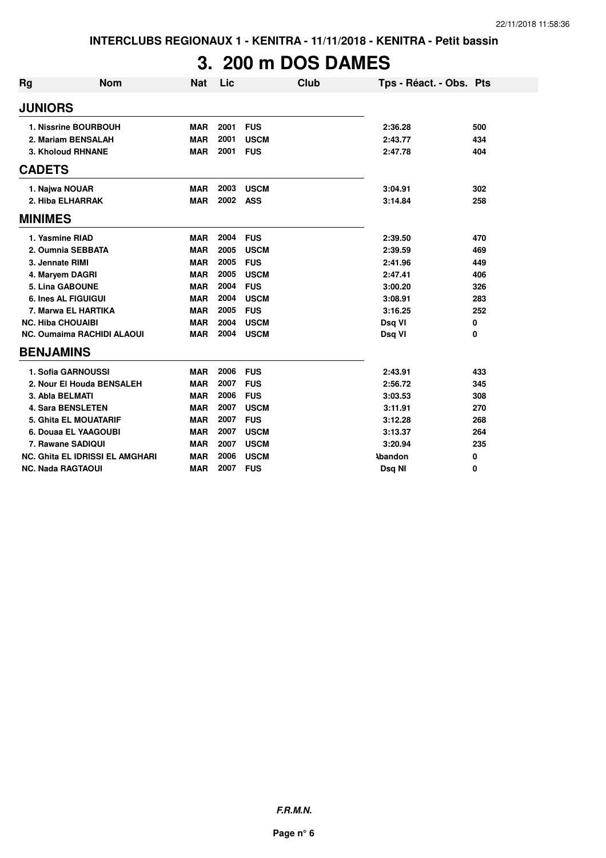# **3. 200 m DOS DAMES**

| <b>Rg</b>      | <b>Nom</b>                             | <b>Nat</b> | Lic  |             | Club | Tps - Réact. - Obs. Pts |     |
|----------------|----------------------------------------|------------|------|-------------|------|-------------------------|-----|
| <b>JUNIORS</b> |                                        |            |      |             |      |                         |     |
|                | 1. Nissrine BOURBOUH                   | <b>MAR</b> | 2001 | <b>FUS</b>  |      | 2:36.28                 | 500 |
|                | 2. Mariam BENSALAH                     | <b>MAR</b> | 2001 | <b>USCM</b> |      | 2:43.77                 | 434 |
|                | 3. Kholoud RHNANE                      | <b>MAR</b> | 2001 | <b>FUS</b>  |      | 2:47.78                 | 404 |
| <b>CADETS</b>  |                                        |            |      |             |      |                         |     |
|                | 1. Najwa NOUAR                         | <b>MAR</b> | 2003 | <b>USCM</b> |      | 3:04.91                 | 302 |
|                | 2. Hiba ELHARRAK                       | <b>MAR</b> | 2002 | <b>ASS</b>  |      | 3:14.84                 | 258 |
| <b>MINIMES</b> |                                        |            |      |             |      |                         |     |
|                | 1. Yasmine RIAD                        | <b>MAR</b> | 2004 | <b>FUS</b>  |      | 2:39.50                 | 470 |
|                | 2. Oumnia SEBBATA                      | <b>MAR</b> | 2005 | <b>USCM</b> |      | 2:39.59                 | 469 |
|                | 3. Jennate RIMI                        | <b>MAR</b> | 2005 | <b>FUS</b>  |      | 2:41.96                 | 449 |
|                | 4. Maryem DAGRI                        | <b>MAR</b> | 2005 | <b>USCM</b> |      | 2:47.41                 | 406 |
|                | <b>5. Lina GABOUNE</b>                 | <b>MAR</b> | 2004 | <b>FUS</b>  |      | 3:00.20                 | 326 |
|                | <b>6. Ines AL FIGUIGUI</b>             | <b>MAR</b> | 2004 | <b>USCM</b> |      | 3:08.91                 | 283 |
|                | 7. Marwa EL HARTIKA                    | <b>MAR</b> | 2005 | <b>FUS</b>  |      | 3:16.25                 | 252 |
|                | <b>NC. Hiba CHOUAIBI</b>               | <b>MAR</b> | 2004 | <b>USCM</b> |      | Dsq VI                  | 0   |
|                | <b>NC. Oumaima RACHIDI ALAOUI</b>      | <b>MAR</b> | 2004 | <b>USCM</b> |      | Dsq VI                  | 0   |
|                | <b>BENJAMINS</b>                       |            |      |             |      |                         |     |
|                | 1. Sofia GARNOUSSI                     | <b>MAR</b> | 2006 | <b>FUS</b>  |      | 2:43.91                 | 433 |
|                | 2. Nour El Houda BENSALEH              | <b>MAR</b> | 2007 | <b>FUS</b>  |      | 2:56.72                 | 345 |
|                | 3. Abla BELMATI                        | <b>MAR</b> | 2006 | <b>FUS</b>  |      | 3:03.53                 | 308 |
|                | <b>4. Sara BENSLETEN</b>               | <b>MAR</b> | 2007 | <b>USCM</b> |      | 3:11.91                 | 270 |
|                | <b>5. Ghita EL MOUATARIF</b>           | <b>MAR</b> | 2007 | <b>FUS</b>  |      | 3:12.28                 | 268 |
|                | 6. Douaa EL YAAGOUBI                   | <b>MAR</b> | 2007 | <b>USCM</b> |      | 3:13.37                 | 264 |
|                | 7. Rawane SADIQUI                      | <b>MAR</b> | 2007 | <b>USCM</b> |      | 3:20.94                 | 235 |
|                | <b>NC. Ghita EL IDRISSI EL AMGHARI</b> | <b>MAR</b> | 2006 | <b>USCM</b> |      | <b>\bandon</b>          | 0   |
|                | <b>NC. Nada RAGTAOUI</b>               | <b>MAR</b> | 2007 | <b>FUS</b>  |      | Dsq NI                  | 0   |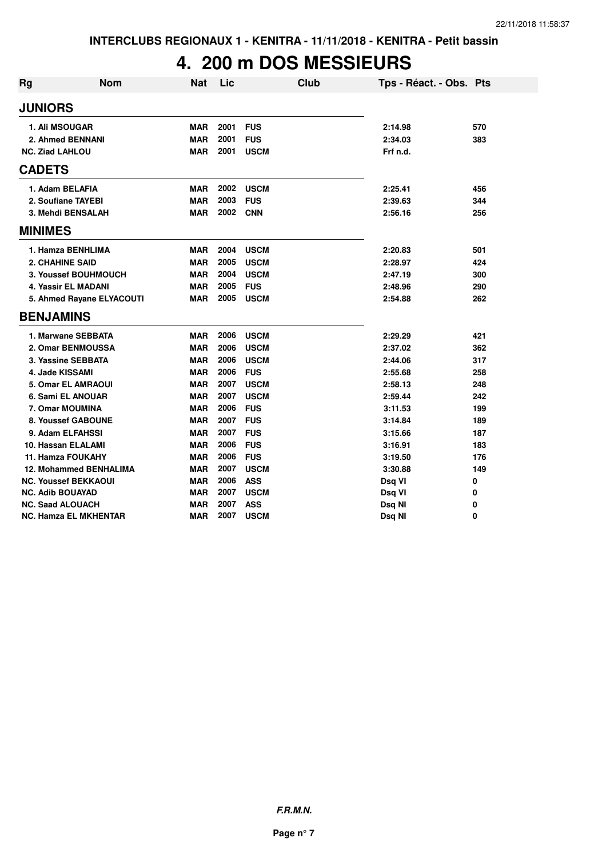## **4. 200 m DOS MESSIEURS**

| <b>Rg</b> | <b>Nom</b>                    | <b>Nat</b> | Lic  | <b>Club</b> | Tps - Réact. - Obs. Pts |     |
|-----------|-------------------------------|------------|------|-------------|-------------------------|-----|
|           | <b>JUNIORS</b>                |            |      |             |                         |     |
|           | <b>1. Ali MSOUGAR</b>         | <b>MAR</b> | 2001 | <b>FUS</b>  | 2:14.98                 | 570 |
|           | 2. Ahmed BENNANI              | <b>MAR</b> | 2001 | <b>FUS</b>  | 2:34.03                 | 383 |
|           | <b>NC. Ziad LAHLOU</b>        | <b>MAR</b> | 2001 | <b>USCM</b> | Frf n.d.                |     |
|           | <b>CADETS</b>                 |            |      |             |                         |     |
|           | 1. Adam BELAFIA               | <b>MAR</b> | 2002 | <b>USCM</b> | 2:25.41                 | 456 |
|           | 2. Soufiane TAYEBI            | <b>MAR</b> | 2003 | <b>FUS</b>  | 2:39.63                 | 344 |
|           | 3. Mehdi BENSALAH             | <b>MAR</b> | 2002 | <b>CNN</b>  | 2:56.16                 | 256 |
|           | <b>MINIMES</b>                |            |      |             |                         |     |
|           | 1. Hamza BENHLIMA             | <b>MAR</b> | 2004 | <b>USCM</b> | 2:20.83                 | 501 |
|           | <b>2. CHAHINE SAID</b>        | <b>MAR</b> | 2005 | <b>USCM</b> | 2:28.97                 | 424 |
|           | 3. Youssef BOUHMOUCH          | <b>MAR</b> | 2004 | <b>USCM</b> | 2:47.19                 | 300 |
|           | 4. Yassir EL MADANI           | <b>MAR</b> | 2005 | <b>FUS</b>  | 2:48.96                 | 290 |
|           | 5. Ahmed Rayane ELYACOUTI     | <b>MAR</b> | 2005 | <b>USCM</b> | 2:54.88                 | 262 |
|           | <b>BENJAMINS</b>              |            |      |             |                         |     |
|           | 1. Marwane SEBBATA            | <b>MAR</b> | 2006 | <b>USCM</b> | 2:29.29                 | 421 |
|           | 2. Omar BENMOUSSA             | <b>MAR</b> | 2006 | <b>USCM</b> | 2:37.02                 | 362 |
|           | 3. Yassine SEBBATA            | <b>MAR</b> | 2006 | <b>USCM</b> | 2:44.06                 | 317 |
|           | 4. Jade KISSAMI               | <b>MAR</b> | 2006 | <b>FUS</b>  | 2:55.68                 | 258 |
|           | <b>5. Omar EL AMRAOUI</b>     | <b>MAR</b> | 2007 | <b>USCM</b> | 2:58.13                 | 248 |
|           | 6. Sami EL ANOUAR             | <b>MAR</b> | 2007 | <b>USCM</b> | 2:59.44                 | 242 |
|           | 7. Omar MOUMINA               | <b>MAR</b> | 2006 | <b>FUS</b>  | 3:11.53                 | 199 |
|           | 8. Youssef GABOUNE            | <b>MAR</b> | 2007 | <b>FUS</b>  | 3:14.84                 | 189 |
|           | 9. Adam ELFAHSSI              | <b>MAR</b> | 2007 | <b>FUS</b>  | 3:15.66                 | 187 |
|           | 10. Hassan ELALAMI            | <b>MAR</b> | 2006 | <b>FUS</b>  | 3:16.91                 | 183 |
|           | 11. Hamza FOUKAHY             | <b>MAR</b> | 2006 | <b>FUS</b>  | 3:19.50                 | 176 |
|           | <b>12. Mohammed BENHALIMA</b> | <b>MAR</b> | 2007 | <b>USCM</b> | 3:30.88                 | 149 |
|           | <b>NC. Youssef BEKKAOUI</b>   | <b>MAR</b> | 2006 | <b>ASS</b>  | Dsq VI                  | 0   |
|           | <b>NC. Adib BOUAYAD</b>       | <b>MAR</b> | 2007 | <b>USCM</b> | Dsq VI                  | 0   |
|           | <b>NC. Saad ALOUACH</b>       | <b>MAR</b> | 2007 | <b>ASS</b>  | Dsq NI                  | 0   |
|           | NC. Hamza EL MKHENTAR         | <b>MAR</b> | 2007 | <b>USCM</b> | Dsq NI                  | 0   |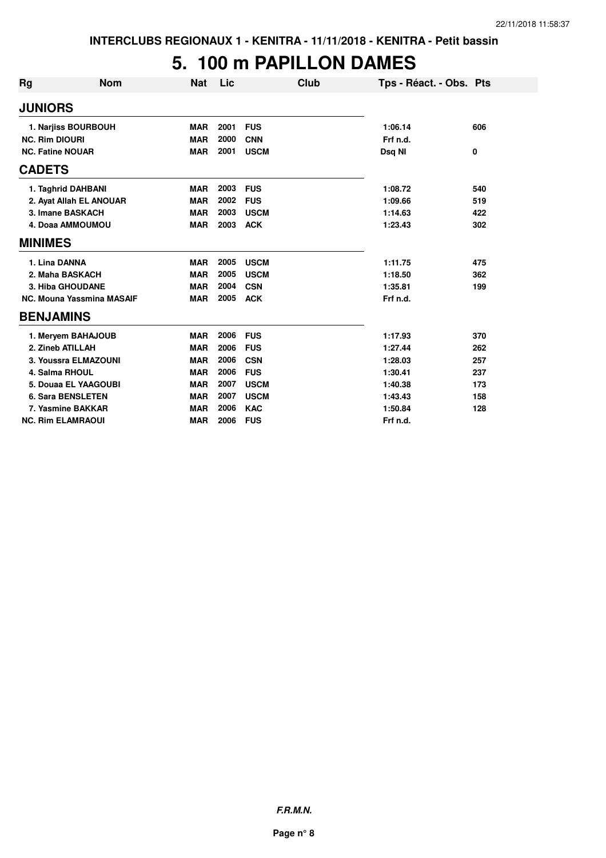#### **5. 100 m PAPILLON DAMES**

| <b>Rg</b>               | <b>Nom</b>                | <b>Nat</b> | Lic  | <b>Club</b> | Tps - Réact. - Obs. Pts |     |
|-------------------------|---------------------------|------------|------|-------------|-------------------------|-----|
| <b>JUNIORS</b>          |                           |            |      |             |                         |     |
|                         | 1. Narjiss BOURBOUH       | <b>MAR</b> | 2001 | <b>FUS</b>  | 1:06.14                 | 606 |
| <b>NC. Rim DIOURI</b>   |                           | <b>MAR</b> | 2000 | <b>CNN</b>  | Frf n.d.                |     |
| <b>NC. Fatine NOUAR</b> |                           | <b>MAR</b> | 2001 | <b>USCM</b> | Dsq NI                  | 0   |
| <b>CADETS</b>           |                           |            |      |             |                         |     |
|                         | 1. Taghrid DAHBANI        | <b>MAR</b> | 2003 | <b>FUS</b>  | 1:08.72                 | 540 |
|                         | 2. Ayat Allah EL ANOUAR   | <b>MAR</b> | 2002 | <b>FUS</b>  | 1:09.66                 | 519 |
|                         | 3. Imane BASKACH          | <b>MAR</b> | 2003 | <b>USCM</b> | 1:14.63                 | 422 |
|                         | 4. Doaa AMMOUMOU          | <b>MAR</b> | 2003 | <b>ACK</b>  | 1:23.43                 | 302 |
| <b>MINIMES</b>          |                           |            |      |             |                         |     |
| 1. Lina DANNA           |                           | <b>MAR</b> | 2005 | <b>USCM</b> | 1:11.75                 | 475 |
|                         | 2. Maha BASKACH           | <b>MAR</b> | 2005 | <b>USCM</b> | 1:18.50                 | 362 |
|                         | <b>3. Hiba GHOUDANE</b>   | <b>MAR</b> | 2004 | <b>CSN</b>  | 1:35.81                 | 199 |
|                         | NC. Mouna Yassmina MASAIF | <b>MAR</b> | 2005 | <b>ACK</b>  | Frf n.d.                |     |
| <b>BENJAMINS</b>        |                           |            |      |             |                         |     |
|                         | 1. Meryem BAHAJOUB        | <b>MAR</b> | 2006 | <b>FUS</b>  | 1:17.93                 | 370 |
|                         | 2. Zineb ATILLAH          | <b>MAR</b> | 2006 | <b>FUS</b>  | 1:27.44                 | 262 |
|                         | 3. Youssra ELMAZOUNI      | <b>MAR</b> | 2006 | <b>CSN</b>  | 1:28.03                 | 257 |
|                         | 4. Salma RHOUL            | <b>MAR</b> | 2006 | <b>FUS</b>  | 1:30.41                 | 237 |
|                         | 5. Douaa EL YAAGOUBI      | <b>MAR</b> | 2007 | <b>USCM</b> | 1:40.38                 | 173 |
|                         | <b>6. Sara BENSLETEN</b>  | <b>MAR</b> | 2007 | <b>USCM</b> | 1:43.43                 | 158 |
|                         | 7. Yasmine BAKKAR         | <b>MAR</b> | 2006 | <b>KAC</b>  | 1:50.84                 | 128 |
|                         | <b>NC. Rim ELAMRAOUI</b>  | <b>MAR</b> | 2006 | <b>FUS</b>  | Frf n.d.                |     |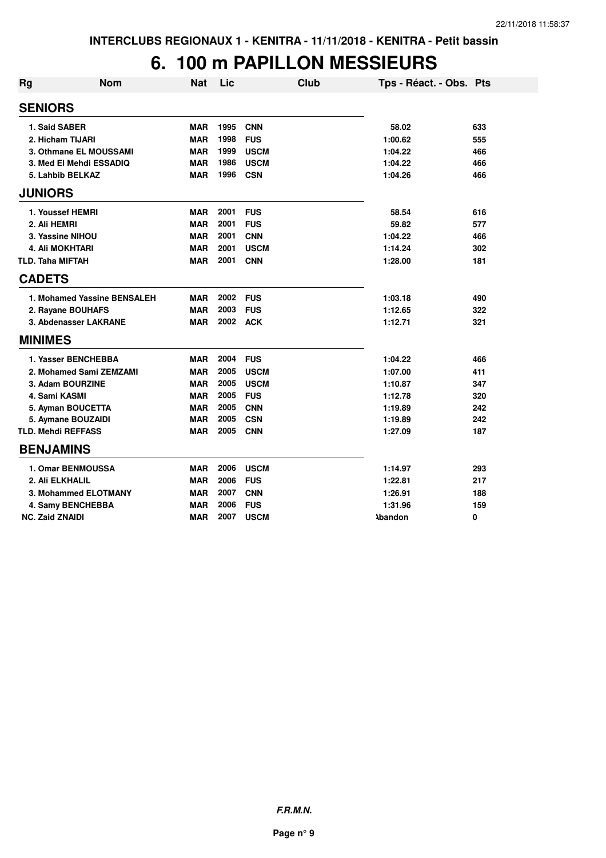## **6. 100 m PAPILLON MESSIEURS**

| <b>Rg</b>               | <b>Nom</b>                  | <b>Nat</b> | Lic  | <b>Club</b> | Tps - Réact. - Obs. Pts |     |
|-------------------------|-----------------------------|------------|------|-------------|-------------------------|-----|
| <b>SENIORS</b>          |                             |            |      |             |                         |     |
|                         | 1. Said SABER               | <b>MAR</b> | 1995 | <b>CNN</b>  | 58.02                   | 633 |
|                         | 2. Hicham TIJARI            | <b>MAR</b> | 1998 | <b>FUS</b>  | 1:00.62                 | 555 |
|                         | 3. Othmane EL MOUSSAMI      | <b>MAR</b> | 1999 | <b>USCM</b> | 1:04.22                 | 466 |
|                         | 3. Med El Mehdi ESSADIQ     | <b>MAR</b> | 1986 | <b>USCM</b> | 1:04.22                 | 466 |
|                         | 5. Lahbib BELKAZ            | <b>MAR</b> | 1996 | <b>CSN</b>  | 1:04.26                 | 466 |
| <b>JUNIORS</b>          |                             |            |      |             |                         |     |
|                         | 1. Youssef HEMRI            | <b>MAR</b> | 2001 | <b>FUS</b>  | 58.54                   | 616 |
| 2. Ali HEMRI            |                             | <b>MAR</b> | 2001 | <b>FUS</b>  | 59.82                   | 577 |
|                         | 3. Yassine NIHOU            | <b>MAR</b> | 2001 | <b>CNN</b>  | 1:04.22                 | 466 |
|                         | <b>4. Ali MOKHTARI</b>      | <b>MAR</b> | 2001 | <b>USCM</b> | 1:14.24                 | 302 |
| <b>TLD. Taha MIFTAH</b> |                             | <b>MAR</b> | 2001 | <b>CNN</b>  | 1:28.00                 | 181 |
| <b>CADETS</b>           |                             |            |      |             |                         |     |
|                         | 1. Mohamed Yassine BENSALEH | <b>MAR</b> | 2002 | <b>FUS</b>  | 1:03.18                 | 490 |
|                         | 2. Rayane BOUHAFS           | <b>MAR</b> | 2003 | <b>FUS</b>  | 1:12.65                 | 322 |
|                         | 3. Abdenasser LAKRANE       | <b>MAR</b> | 2002 | <b>ACK</b>  | 1:12.71                 | 321 |
| <b>MINIMES</b>          |                             |            |      |             |                         |     |
|                         | 1. Yasser BENCHEBBA         | <b>MAR</b> | 2004 | <b>FUS</b>  | 1:04.22                 | 466 |
|                         | 2. Mohamed Sami ZEMZAMI     | <b>MAR</b> | 2005 | <b>USCM</b> | 1:07.00                 | 411 |
|                         | 3. Adam BOURZINE            | <b>MAR</b> | 2005 | <b>USCM</b> | 1:10.87                 | 347 |
|                         | 4. Sami KASMI               | <b>MAR</b> | 2005 | <b>FUS</b>  | 1:12.78                 | 320 |
|                         | 5. Ayman BOUCETTA           | <b>MAR</b> | 2005 | <b>CNN</b>  | 1:19.89                 | 242 |
|                         | 5. Aymane BOUZAIDI          | <b>MAR</b> | 2005 | <b>CSN</b>  | 1:19.89                 | 242 |
|                         | <b>TLD. Mehdi REFFASS</b>   | <b>MAR</b> | 2005 | <b>CNN</b>  | 1:27.09                 | 187 |
|                         | <b>BENJAMINS</b>            |            |      |             |                         |     |
|                         | 1. Omar BENMOUSSA           | <b>MAR</b> | 2006 | <b>USCM</b> | 1:14.97                 | 293 |
|                         | 2. Ali ELKHALIL             | <b>MAR</b> | 2006 | <b>FUS</b>  | 1:22.81                 | 217 |
|                         | 3. Mohammed ELOTMANY        | <b>MAR</b> | 2007 | <b>CNN</b>  | 1:26.91                 | 188 |
|                         | 4. Samy BENCHEBBA           | <b>MAR</b> | 2006 | <b>FUS</b>  | 1:31.96                 | 159 |
| <b>NC. Zaid ZNAIDI</b>  |                             | <b>MAR</b> | 2007 | <b>USCM</b> | <b>\bandon</b>          | 0   |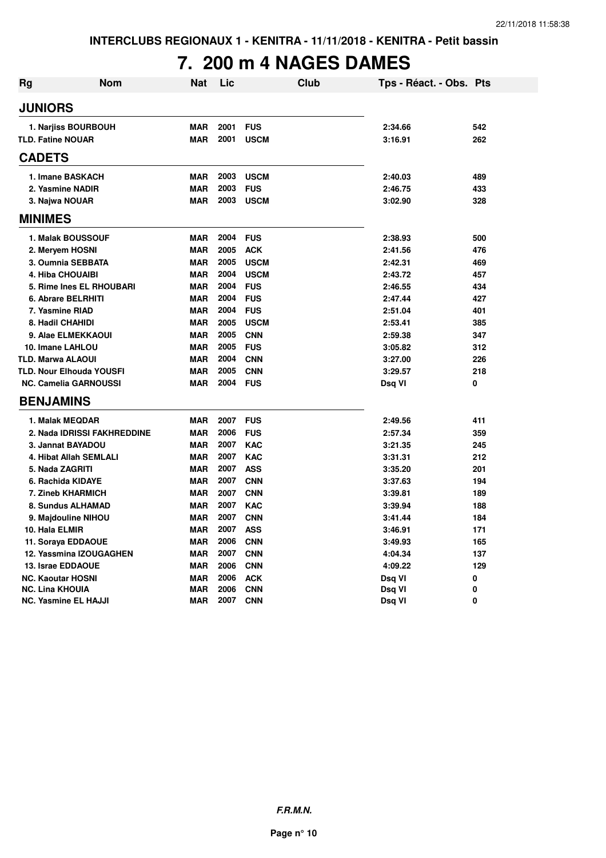# **7. 200 m 4 NAGES DAMES**

| <b>Rg</b>      | <b>Nom</b>                      | <b>Nat</b> | Lic  | <b>Club</b> | Tps - Réact. - Obs. Pts |     |
|----------------|---------------------------------|------------|------|-------------|-------------------------|-----|
| <b>JUNIORS</b> |                                 |            |      |             |                         |     |
|                | 1. Narjiss BOURBOUH             | <b>MAR</b> | 2001 | <b>FUS</b>  | 2:34.66                 | 542 |
|                | <b>TLD. Fatine NOUAR</b>        | <b>MAR</b> | 2001 | <b>USCM</b> | 3:16.91                 | 262 |
| <b>CADETS</b>  |                                 |            |      |             |                         |     |
|                | 1. Imane BASKACH                | <b>MAR</b> | 2003 | <b>USCM</b> | 2:40.03                 | 489 |
|                | 2. Yasmine NADIR                | <b>MAR</b> | 2003 | <b>FUS</b>  | 2:46.75                 | 433 |
|                | 3. Najwa NOUAR                  | <b>MAR</b> | 2003 | <b>USCM</b> | 3:02.90                 | 328 |
| <b>MINIMES</b> |                                 |            |      |             |                         |     |
|                | 1. Malak BOUSSOUF               | <b>MAR</b> | 2004 | <b>FUS</b>  | 2:38.93                 | 500 |
|                | 2. Meryem HOSNI                 | <b>MAR</b> | 2005 | <b>ACK</b>  | 2:41.56                 | 476 |
|                | 3. Oumnia SEBBATA               | <b>MAR</b> | 2005 | <b>USCM</b> | 2:42.31                 | 469 |
|                | <b>4. Hiba CHOUAIBI</b>         | <b>MAR</b> | 2004 | <b>USCM</b> | 2:43.72                 | 457 |
|                | 5. Rime Ines EL RHOUBARI        | <b>MAR</b> | 2004 | <b>FUS</b>  | 2:46.55                 | 434 |
|                | 6. Abrare BELRHITI              | <b>MAR</b> | 2004 | <b>FUS</b>  | 2:47.44                 | 427 |
|                | 7. Yasmine RIAD                 | <b>MAR</b> | 2004 | <b>FUS</b>  | 2:51.04                 | 401 |
|                | 8. Hadil CHAHIDI                | <b>MAR</b> | 2005 | <b>USCM</b> | 2:53.41                 | 385 |
|                | 9. Alae ELMEKKAOUI              | <b>MAR</b> | 2005 | <b>CNN</b>  | 2:59.38                 | 347 |
|                | 10. Imane LAHLOU                | <b>MAR</b> | 2005 | <b>FUS</b>  | 3:05.82                 | 312 |
|                | <b>TLD. Marwa ALAOUI</b>        | <b>MAR</b> | 2004 | <b>CNN</b>  | 3:27.00                 | 226 |
|                | <b>TLD. Nour Elhouda YOUSFI</b> | <b>MAR</b> | 2005 | <b>CNN</b>  | 3:29.57                 | 218 |
|                | <b>NC. Camelia GARNOUSSI</b>    | <b>MAR</b> | 2004 | <b>FUS</b>  | Dsq VI                  | 0   |
|                | <b>BENJAMINS</b>                |            |      |             |                         |     |
|                | 1. Malak MEQDAR                 | <b>MAR</b> | 2007 | <b>FUS</b>  | 2:49.56                 | 411 |
|                | 2. Nada IDRISSI FAKHREDDINE     | <b>MAR</b> | 2006 | <b>FUS</b>  | 2:57.34                 | 359 |
|                | 3. Jannat BAYADOU               | <b>MAR</b> | 2007 | <b>KAC</b>  | 3:21.35                 | 245 |
|                | 4. Hibat Allah SEMLALI          | <b>MAR</b> | 2007 | <b>KAC</b>  | 3:31.31                 | 212 |
|                | 5. Nada ZAGRITI                 | <b>MAR</b> | 2007 | <b>ASS</b>  | 3:35.20                 | 201 |
|                | 6. Rachida KIDAYE               | <b>MAR</b> | 2007 | <b>CNN</b>  | 3:37.63                 | 194 |
|                | 7. Zineb KHARMICH               | <b>MAR</b> | 2007 | <b>CNN</b>  | 3:39.81                 | 189 |
|                | 8. Sundus ALHAMAD               | <b>MAR</b> | 2007 | <b>KAC</b>  | 3:39.94                 | 188 |
|                | 9. Majdouline NIHOU             | <b>MAR</b> | 2007 | <b>CNN</b>  | 3:41.44                 | 184 |
|                | 10. Hala ELMIR                  | <b>MAR</b> | 2007 | <b>ASS</b>  | 3:46.91                 | 171 |
|                | 11. Soraya EDDAOUE              | <b>MAR</b> | 2006 | <b>CNN</b>  | 3:49.93                 | 165 |
|                | 12. Yassmina IZOUGAGHEN         | <b>MAR</b> | 2007 | <b>CNN</b>  | 4:04.34                 | 137 |
|                | 13. Israe EDDAOUE               | <b>MAR</b> | 2006 | <b>CNN</b>  | 4:09.22                 | 129 |
|                | <b>NC. Kaoutar HOSNI</b>        | <b>MAR</b> | 2006 | <b>ACK</b>  | Dsq VI                  | 0   |
|                | NC. Lina KHOUIA                 | <b>MAR</b> | 2006 | <b>CNN</b>  | Dsq VI                  | 0   |
|                | NC. Yasmine EL HAJJI            | <b>MAR</b> | 2007 | <b>CNN</b>  | Dsq VI                  | 0   |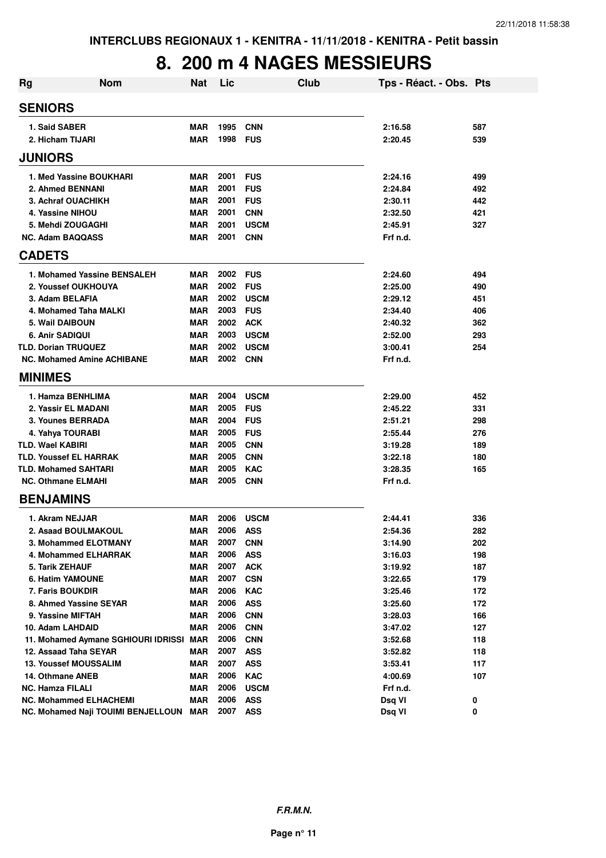## **8. 200 m 4 NAGES MESSIEURS**

| <b>Rg</b> | <b>Nom</b>                                  | Nat                      | Lic          |                          | <b>Club</b> | Tps - Réact. - Obs. Pts |            |
|-----------|---------------------------------------------|--------------------------|--------------|--------------------------|-------------|-------------------------|------------|
|           | <b>SENIORS</b>                              |                          |              |                          |             |                         |            |
|           | 1. Said SABER                               | <b>MAR</b>               | 1995         | <b>CNN</b>               |             | 2:16.58                 | 587        |
|           | 2. Hicham TIJARI                            | <b>MAR</b>               | 1998         | <b>FUS</b>               |             | 2:20.45                 | 539        |
|           | <b>JUNIORS</b>                              |                          |              |                          |             |                         |            |
|           | 1. Med Yassine BOUKHARI                     | <b>MAR</b>               | 2001         | <b>FUS</b>               |             | 2:24.16                 | 499        |
|           | 2. Ahmed BENNANI                            | <b>MAR</b>               | 2001         | <b>FUS</b>               |             | 2:24.84                 | 492        |
|           | 3. Achraf OUACHIKH                          | <b>MAR</b>               | 2001         | <b>FUS</b>               |             | 2:30.11                 | 442        |
|           | 4. Yassine NIHOU                            | <b>MAR</b>               | 2001         | <b>CNN</b>               |             | 2:32.50                 | 421        |
|           | 5. Mehdi ZOUGAGHI                           | <b>MAR</b>               | 2001         | <b>USCM</b>              |             | 2:45.91                 | 327        |
|           | <b>NC. Adam BAQQASS</b>                     | <b>MAR</b>               | 2001         | <b>CNN</b>               |             | Frf n.d.                |            |
|           | <b>CADETS</b>                               |                          |              |                          |             |                         |            |
|           | 1. Mohamed Yassine BENSALEH                 | <b>MAR</b>               | 2002         | <b>FUS</b>               |             | 2:24.60                 | 494        |
|           | 2. Youssef OUKHOUYA                         | <b>MAR</b>               | 2002         | <b>FUS</b>               |             | 2:25.00                 | 490        |
|           | 3. Adam BELAFIA                             | <b>MAR</b>               | 2002         | <b>USCM</b>              |             | 2:29.12                 | 451        |
|           | 4. Mohamed Taha MALKI                       | <b>MAR</b>               | 2003         | <b>FUS</b>               |             | 2:34.40                 | 406        |
|           | 5. Wail DAIBOUN                             | <b>MAR</b>               | 2002         | <b>ACK</b>               |             | 2:40.32                 | 362        |
|           | <b>6. Anir SADIQUI</b>                      | <b>MAR</b>               | 2003         | <b>USCM</b>              |             | 2:52.00                 | 293        |
|           | <b>TLD. Dorian TRUQUEZ</b>                  | <b>MAR</b>               | 2002         | <b>USCM</b>              |             | 3:00.41                 | 254        |
|           | <b>NC. Mohamed Amine ACHIBANE</b>           | MAR                      | 2002         | <b>CNN</b>               |             | Frf n.d.                |            |
|           | <b>MINIMES</b>                              |                          |              |                          |             |                         |            |
|           | 1. Hamza BENHLIMA                           | <b>MAR</b>               | 2004         | <b>USCM</b>              |             | 2:29.00                 | 452        |
|           | 2. Yassir EL MADANI                         | <b>MAR</b>               | 2005         | <b>FUS</b>               |             | 2:45.22                 | 331        |
|           | 3. Younes BERRADA                           | <b>MAR</b>               | 2004         | <b>FUS</b>               |             | 2:51.21                 | 298        |
|           | 4. Yahya TOURABI                            | <b>MAR</b>               | 2005         | <b>FUS</b>               |             | 2:55.44                 | 276        |
|           | <b>TLD. Wael KABIRI</b>                     | <b>MAR</b>               | 2005         | <b>CNN</b>               |             | 3:19.28                 | 189        |
|           | <b>TLD. Youssef EL HARRAK</b>               | <b>MAR</b>               | 2005         | <b>CNN</b>               |             | 3:22.18                 | 180        |
|           | <b>TLD. Mohamed SAHTARI</b>                 | <b>MAR</b>               | 2005         | <b>KAC</b>               |             | 3:28.35                 | 165        |
|           | <b>NC. Othmane ELMAHI</b>                   | <b>MAR</b>               | 2005         | <b>CNN</b>               |             | Frf n.d.                |            |
|           | <b>BENJAMINS</b>                            |                          |              |                          |             |                         |            |
|           | 1. Akram NEJJAR                             | <b>MAR</b>               | 2006         | <b>USCM</b>              |             | 2:44.41                 | 336        |
|           | 2. Asaad BOULMAKOUL                         | MAR                      | 2006         | <b>ASS</b>               |             | 2:54.36                 | 282        |
|           | 3. Mohammed ELOTMANY                        | MAR                      | 2007         | <b>CNN</b>               |             | 3:14.90                 | 202        |
|           | 4. Mohammed ELHARRAK                        | <b>MAR</b>               | 2006         | <b>ASS</b>               |             | 3:16.03                 | 198        |
|           | 5. Tarik ZEHAUF                             | <b>MAR</b>               | 2007         | <b>ACK</b>               |             | 3:19.92                 | 187        |
|           | <b>6. Hatim YAMOUNE</b>                     | <b>MAR</b>               | 2007         | <b>CSN</b>               |             | 3:22.65                 | 179        |
|           | 7. Faris BOUKDIR                            | <b>MAR</b>               | 2006         | <b>KAC</b>               |             | 3:25.46                 | 172        |
|           | 8. Ahmed Yassine SEYAR                      | <b>MAR</b>               | 2006         | <b>ASS</b>               |             | 3:25.60                 | 172        |
|           | 9. Yassine MIFTAH                           | <b>MAR</b>               | 2006         | <b>CNN</b>               |             | 3:28.03                 | 166        |
|           | 10. Adam LAHDAID                            | <b>MAR</b>               | 2006         | <b>CNN</b>               |             | 3:47.02                 | 127        |
|           | 11. Mohamed Aymane SGHIOURI IDRISSI MAR     |                          | 2006         | <b>CNN</b>               |             | 3:52.68                 | 118        |
|           | 12. Assaad Taha SEYAR                       | MAR                      | 2007         | <b>ASS</b>               |             | 3:52.82                 | 118        |
|           | <b>13. Youssef MOUSSALIM</b>                | <b>MAR</b><br><b>MAR</b> | 2007<br>2006 | <b>ASS</b><br><b>KAC</b> |             | 3:53.41                 | 117<br>107 |
|           | 14. Othmane ANEB<br><b>NC. Hamza FILALI</b> | <b>MAR</b>               | 2006         | <b>USCM</b>              |             | 4:00.69<br>Frf n.d.     |            |
|           | <b>NC. Mohammed ELHACHEMI</b>               | MAR                      | 2006         | <b>ASS</b>               |             | Dsq VI                  | 0          |
|           | NC. Mohamed Naji TOUIMI BENJELLOUN MAR      |                          | 2007         | <b>ASS</b>               |             | Dsq VI                  | 0          |
|           |                                             |                          |              |                          |             |                         |            |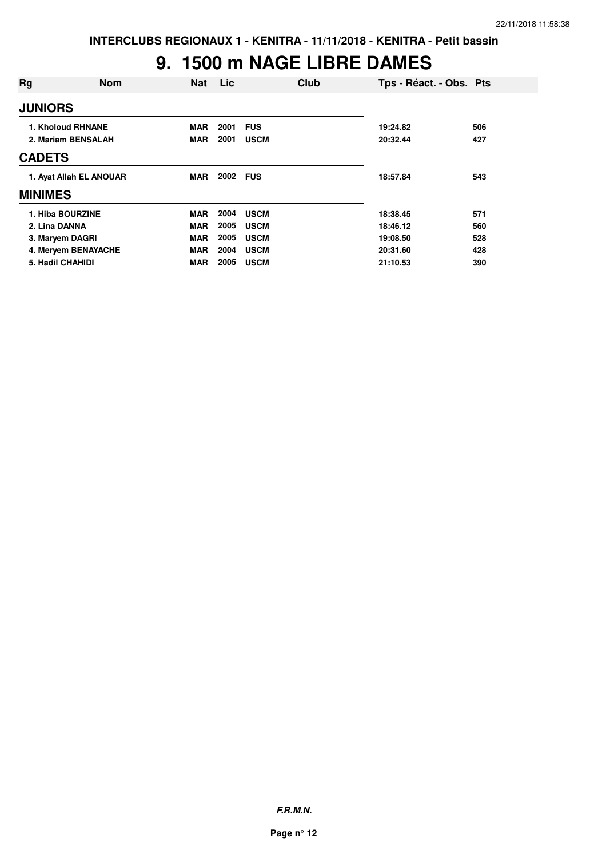# **9. 1500 m NAGE LIBRE DAMES**

| Rg               | <b>Nom</b>              | <b>Nat</b> | <b>Lic</b> | Club        | Tps - Réact. - Obs. Pts |     |
|------------------|-------------------------|------------|------------|-------------|-------------------------|-----|
| <b>JUNIORS</b>   |                         |            |            |             |                         |     |
|                  | 1. Kholoud RHNANE       | <b>MAR</b> | 2001       | <b>FUS</b>  | 19:24.82                | 506 |
|                  | 2. Mariam BENSALAH      | <b>MAR</b> | 2001       | <b>USCM</b> | 20:32.44                | 427 |
| <b>CADETS</b>    |                         |            |            |             |                         |     |
|                  | 1. Avat Allah EL ANOUAR | <b>MAR</b> | 2002 FUS   |             | 18:57.84                | 543 |
| <b>MINIMES</b>   |                         |            |            |             |                         |     |
| 1. Hiba BOURZINE |                         | <b>MAR</b> | 2004       | <b>USCM</b> | 18:38.45                | 571 |
| 2. Lina DANNA    |                         | <b>MAR</b> | 2005       | <b>USCM</b> | 18:46.12                | 560 |
| 3. Maryem DAGRI  |                         | <b>MAR</b> | 2005       | <b>USCM</b> | 19:08.50                | 528 |
|                  | 4. Meryem BENAYACHE     | <b>MAR</b> | 2004       | <b>USCM</b> | 20:31.60                | 428 |
| 5. Hadil CHAHIDI |                         | <b>MAR</b> | 2005       | <b>USCM</b> | 21:10.53                | 390 |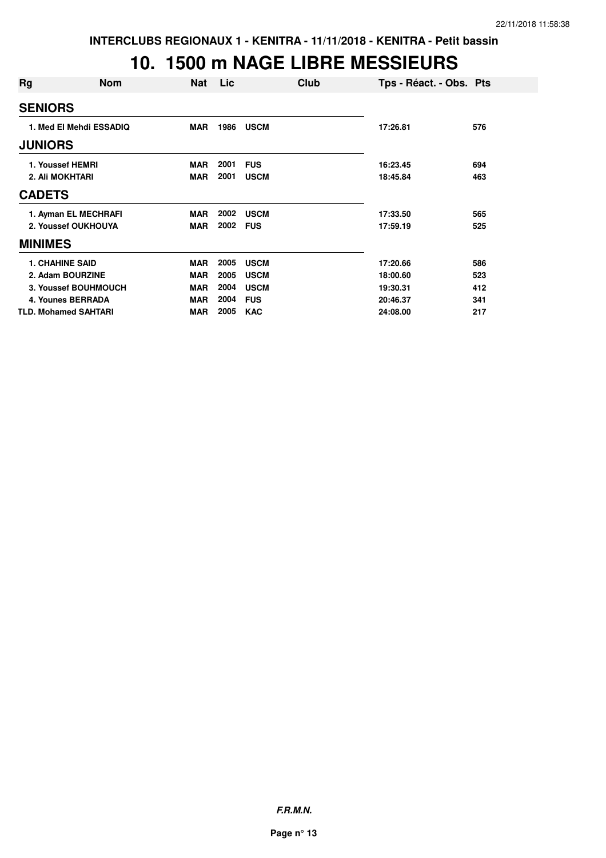#### **10. 1500 m NAGE LIBRE MESSIEURS**

| Rg              | <b>Nom</b>                  | <b>Nat</b> | Lic  | Club        | Tps - Réact. - Obs. Pts |     |
|-----------------|-----------------------------|------------|------|-------------|-------------------------|-----|
| <b>SENIORS</b>  |                             |            |      |             |                         |     |
|                 | 1. Med El Mehdi ESSADIQ     | MAR        | 1986 | <b>USCM</b> | 17:26.81                | 576 |
| <b>JUNIORS</b>  |                             |            |      |             |                         |     |
|                 | 1. Youssef HEMRI            | <b>MAR</b> | 2001 | <b>FUS</b>  | 16:23.45                | 694 |
| 2. Ali MOKHTARI |                             | <b>MAR</b> | 2001 | <b>USCM</b> | 18:45.84                | 463 |
| <b>CADETS</b>   |                             |            |      |             |                         |     |
|                 | 1. Ayman EL MECHRAFI        | <b>MAR</b> | 2002 | <b>USCM</b> | 17:33.50                | 565 |
|                 | 2. Youssef OUKHOUYA         | <b>MAR</b> | 2002 | <b>FUS</b>  | 17:59.19                | 525 |
| <b>MINIMES</b>  |                             |            |      |             |                         |     |
|                 | <b>1. CHAHINE SAID</b>      | <b>MAR</b> | 2005 | <b>USCM</b> | 17:20.66                | 586 |
|                 | 2. Adam BOURZINE            | <b>MAR</b> | 2005 | <b>USCM</b> | 18:00.60                | 523 |
|                 | 3. Youssef BOUHMOUCH        | <b>MAR</b> | 2004 | <b>USCM</b> | 19:30.31                | 412 |
|                 | 4. Younes BERRADA           | <b>MAR</b> | 2004 | <b>FUS</b>  | 20:46.37                | 341 |
|                 | <b>TLD. Mohamed SAHTARI</b> | <b>MAR</b> | 2005 | <b>KAC</b>  | 24:08.00                | 217 |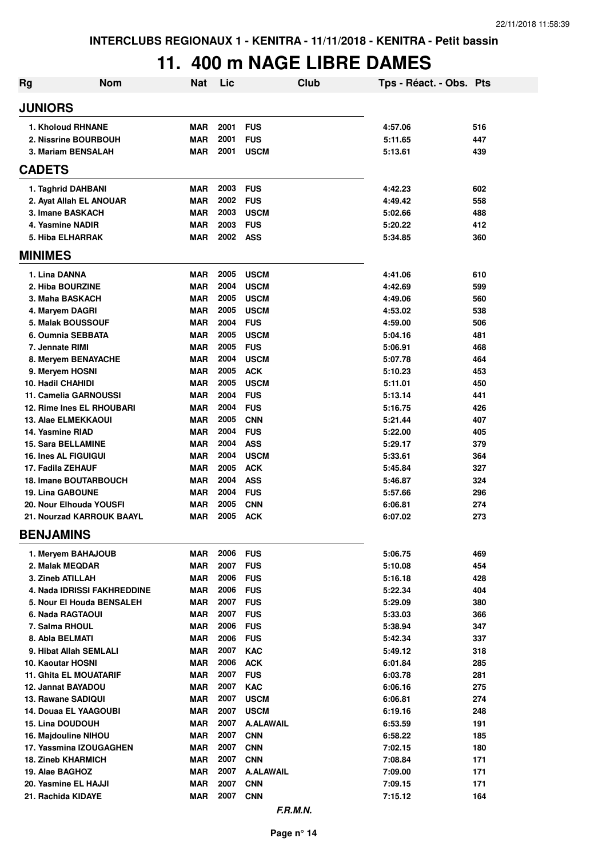# **11. 400 m NAGE LIBRE DAMES**

| Rg             | <b>Nom</b>                                         | <b>Nat</b>               | Lic          | <b>Club</b>                | Tps - Réact. - Obs. Pts |            |
|----------------|----------------------------------------------------|--------------------------|--------------|----------------------------|-------------------------|------------|
| <b>JUNIORS</b> |                                                    |                          |              |                            |                         |            |
|                | 1. Kholoud RHNANE                                  | <b>MAR</b>               | 2001         | <b>FUS</b>                 | 4:57.06                 | 516        |
|                | 2. Nissrine BOURBOUH                               | <b>MAR</b>               | 2001         | <b>FUS</b>                 | 5:11.65                 | 447        |
|                | 3. Mariam BENSALAH                                 | <b>MAR</b>               | 2001         | <b>USCM</b>                | 5:13.61                 | 439        |
| <b>CADETS</b>  |                                                    |                          |              |                            |                         |            |
|                |                                                    |                          |              |                            |                         |            |
|                | 1. Taghrid DAHBANI                                 | <b>MAR</b>               | 2003         | <b>FUS</b>                 | 4:42.23                 | 602        |
|                | 2. Ayat Allah EL ANOUAR                            | <b>MAR</b>               | 2002         | <b>FUS</b>                 | 4:49.42                 | 558        |
|                | 3. Imane BASKACH                                   | <b>MAR</b>               | 2003         | <b>USCM</b>                | 5:02.66                 | 488        |
|                | 4. Yasmine NADIR<br><b>5. Hiba ELHARRAK</b>        | <b>MAR</b><br><b>MAR</b> | 2003<br>2002 | <b>FUS</b><br><b>ASS</b>   | 5:20.22                 | 412        |
| <b>MINIMES</b> |                                                    |                          |              |                            | 5:34.85                 | 360        |
|                |                                                    |                          |              |                            |                         |            |
|                | 1. Lina DANNA                                      | <b>MAR</b>               | 2005         | <b>USCM</b>                | 4:41.06                 | 610        |
|                | 2. Hiba BOURZINE                                   | <b>MAR</b>               | 2004         | <b>USCM</b>                | 4:42.69                 | 599        |
|                | 3. Maha BASKACH                                    | <b>MAR</b>               | 2005         | <b>USCM</b>                | 4:49.06                 | 560        |
|                | 4. Maryem DAGRI                                    | <b>MAR</b>               | 2005         | <b>USCM</b>                | 4:53.02                 | 538        |
|                | 5. Malak BOUSSOUF                                  | <b>MAR</b>               | 2004         | <b>FUS</b>                 | 4:59.00                 | 506        |
|                | 6. Oumnia SEBBATA                                  | <b>MAR</b>               | 2005         | <b>USCM</b>                | 5:04.16                 | 481        |
|                | 7. Jennate RIMI                                    | <b>MAR</b>               | 2005<br>2004 | <b>FUS</b>                 | 5:06.91                 | 468        |
|                | 8. Meryem BENAYACHE<br>9. Meryem HOSNI             | <b>MAR</b><br><b>MAR</b> | 2005         | <b>USCM</b><br><b>ACK</b>  | 5:07.78<br>5:10.23      | 464<br>453 |
|                | 10. Hadil CHAHIDI                                  | <b>MAR</b>               | 2005         | <b>USCM</b>                | 5:11.01                 | 450        |
|                | 11. Camelia GARNOUSSI                              | <b>MAR</b>               | 2004         | <b>FUS</b>                 | 5:13.14                 | 441        |
|                | 12. Rime Ines EL RHOUBARI                          | <b>MAR</b>               | 2004         | <b>FUS</b>                 | 5:16.75                 | 426        |
|                | 13. Alae ELMEKKAOUI                                | <b>MAR</b>               | 2005         | <b>CNN</b>                 | 5:21.44                 | 407        |
|                | 14. Yasmine RIAD                                   | <b>MAR</b>               | 2004         | <b>FUS</b>                 | 5:22.00                 | 405        |
|                | <b>15. Sara BELLAMINE</b>                          | <b>MAR</b>               | 2004         | <b>ASS</b>                 | 5:29.17                 | 379        |
|                | <b>16. Ines AL FIGUIGUI</b>                        | <b>MAR</b>               | 2004         | <b>USCM</b>                | 5:33.61                 | 364        |
|                | 17. Fadila ZEHAUF                                  | <b>MAR</b>               | 2005         | <b>ACK</b>                 | 5:45.84                 | 327        |
|                | <b>18. Imane BOUTARBOUCH</b>                       | <b>MAR</b>               | 2004         | <b>ASS</b>                 | 5:46.87                 | 324        |
|                | <b>19. Lina GABOUNE</b>                            | <b>MAR</b>               | 2004         | <b>FUS</b>                 | 5:57.66                 | 296        |
|                | 20. Nour Elhouda YOUSFI                            | <b>MAR</b>               | 2005         | <b>CNN</b>                 | 6:06.81                 | 274        |
|                | 21. Nourzad KARROUK BAAYL                          | <b>MAR</b>               | 2005         | <b>ACK</b>                 | 6:07.02                 | 273        |
|                | <b>BENJAMINS</b>                                   |                          |              |                            |                         |            |
|                | 1. Meryem BAHAJOUB                                 | <b>MAR</b>               | 2006         | <b>FUS</b>                 | 5:06.75                 | 469        |
|                | 2. Malak MEQDAR                                    | <b>MAR</b>               | 2007         | <b>FUS</b>                 | 5:10.08                 | 454        |
|                | 3. Zineb ATILLAH                                   | <b>MAR</b>               | 2006         | <b>FUS</b>                 | 5:16.18                 | 428        |
|                | 4. Nada IDRISSI FAKHREDDINE                        | <b>MAR</b>               | 2006         | <b>FUS</b>                 | 5:22.34                 | 404        |
|                | 5. Nour El Houda BENSALEH                          | <b>MAR</b>               | 2007         | <b>FUS</b>                 | 5:29.09                 | 380        |
|                | 6. Nada RAGTAOUI                                   | <b>MAR</b>               | 2007         | <b>FUS</b>                 | 5:33.03                 | 366        |
|                | 7. Salma RHOUL                                     | <b>MAR</b>               | 2006         | <b>FUS</b>                 | 5:38.94                 | 347        |
|                | 8. Abla BELMATI                                    | <b>MAR</b>               | 2006         | <b>FUS</b>                 | 5:42.34                 | 337        |
|                | 9. Hibat Allah SEMLALI                             | <b>MAR</b>               | 2007         | <b>KAC</b>                 | 5:49.12                 | 318        |
|                | 10. Kaoutar HOSNI                                  | <b>MAR</b>               | 2006         | <b>ACK</b>                 | 6:01.84                 | 285        |
|                | <b>11. Ghita EL MOUATARIF</b>                      | <b>MAR</b>               | 2007         | <b>FUS</b>                 | 6:03.78                 | 281        |
|                | 12. Jannat BAYADOU                                 | <b>MAR</b>               | 2007<br>2007 | <b>KAC</b>                 | 6:06.16                 | 275<br>274 |
|                | 13. Rawane SADIQUI<br><b>14. Douaa EL YAAGOUBI</b> | <b>MAR</b><br><b>MAR</b> | 2007         | <b>USCM</b><br><b>USCM</b> | 6:06.81<br>6:19.16      | 248        |
|                | <b>15. Lina DOUDOUH</b>                            | <b>MAR</b>               | 2007         | <b>A.ALAWAIL</b>           | 6:53.59                 | 191        |
|                | 16. Majdouline NIHOU                               | <b>MAR</b>               | 2007         | <b>CNN</b>                 | 6:58.22                 | 185        |
|                | 17. Yassmina IZOUGAGHEN                            | <b>MAR</b>               | 2007         | <b>CNN</b>                 | 7:02.15                 | 180        |
|                | <b>18. Zineb KHARMICH</b>                          | <b>MAR</b>               | 2007         | <b>CNN</b>                 | 7:08.84                 | 171        |
|                | 19. Alae BAGHOZ                                    | <b>MAR</b>               | 2007         | <b>A.ALAWAIL</b>           | 7:09.00                 | 171        |
|                | 20. Yasmine EL HAJJI                               | <b>MAR</b>               | 2007         | <b>CNN</b>                 | 7:09.15                 | 171        |
|                | 21. Rachida KIDAYE                                 | <b>MAR</b>               | 2007         | <b>CNN</b>                 | 7:15.12                 | 164        |
|                |                                                    |                          |              |                            |                         |            |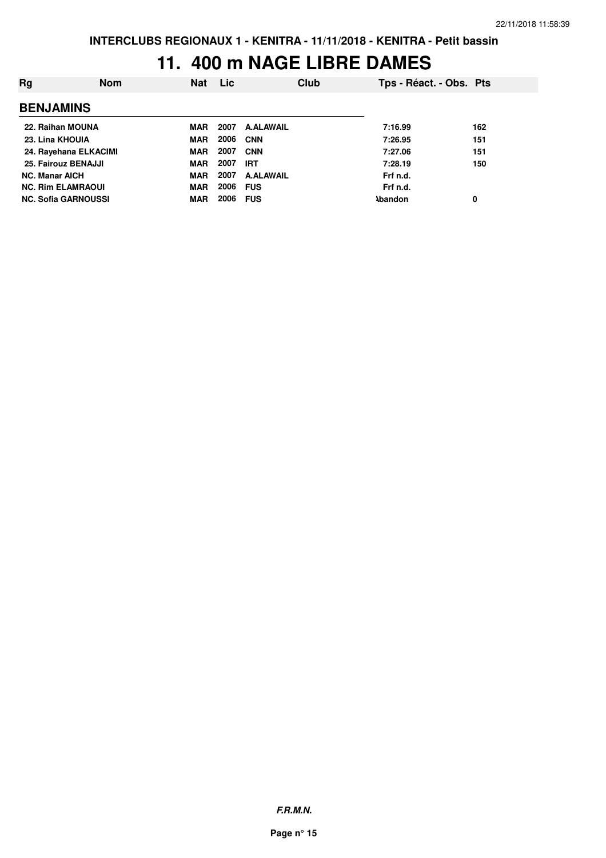#### **11. 400 m NAGE LIBRE DAMES**

| Rg                         | <b>Nom</b> | <b>Nat</b> | <b>Lic</b> | Club             |                | Tps - Réact. - Obs. Pts |     |
|----------------------------|------------|------------|------------|------------------|----------------|-------------------------|-----|
| <b>BENJAMINS</b>           |            |            |            |                  |                |                         |     |
| 22. Raihan MOUNA           |            | MAR        | 2007       | <b>A.ALAWAIL</b> |                | 7:16.99                 | 162 |
| 23. Lina KHOUIA            |            | <b>MAR</b> | 2006       | <b>CNN</b>       |                | 7:26.95                 | 151 |
| 24. Rayehana ELKACIMI      |            | <b>MAR</b> | 2007       | <b>CNN</b>       |                | 7:27.06                 | 151 |
| 25. Fairouz BENAJJI        |            | <b>MAR</b> | 2007       | <b>IRT</b>       |                | 7:28.19                 | 150 |
| <b>NC. Manar AICH</b>      |            | <b>MAR</b> | 2007       | <b>A.ALAWAIL</b> |                | Frf n.d.                |     |
| <b>NC. Rim ELAMRAOUI</b>   |            | <b>MAR</b> | 2006       | <b>FUS</b>       |                | Frf n.d.                |     |
| <b>NC. Sofia GARNOUSSI</b> |            | <b>MAR</b> | 2006       | <b>FUS</b>       | <b>\bandon</b> |                         | 0   |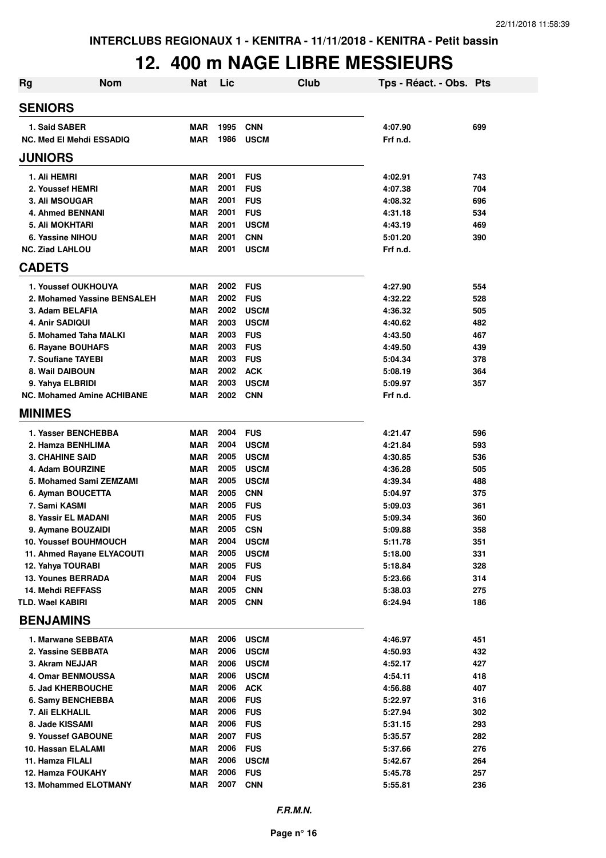## **12. 400 m NAGE LIBRE MESSIEURS**

| <b>Rg</b>                                    | <b>Nom</b>                  | Nat                      | Lic          |                          | Club | Tps - Réact. - Obs. Pts |            |
|----------------------------------------------|-----------------------------|--------------------------|--------------|--------------------------|------|-------------------------|------------|
| <b>SENIORS</b>                               |                             |                          |              |                          |      |                         |            |
| 1. Said SABER                                |                             | <b>MAR</b>               | 1995         | <b>CNN</b>               |      | 4:07.90                 | 699        |
| <b>NC. Med El Mehdi ESSADIQ</b>              |                             | <b>MAR</b>               | 1986         | <b>USCM</b>              |      | Frf n.d.                |            |
| <b>JUNIORS</b>                               |                             |                          |              |                          |      |                         |            |
| 1. Ali HEMRI                                 |                             | <b>MAR</b>               | 2001         | <b>FUS</b>               |      | 4:02.91                 | 743        |
| 2. Youssef HEMRI                             |                             | <b>MAR</b>               | 2001         | <b>FUS</b>               |      | 4:07.38                 | 704        |
| <b>3. Ali MSOUGAR</b>                        |                             | <b>MAR</b>               | 2001         | <b>FUS</b>               |      | 4:08.32                 | 696        |
| <b>4. Ahmed BENNANI</b>                      |                             | <b>MAR</b>               | 2001         | <b>FUS</b>               |      | 4:31.18                 | 534        |
| 5. Ali MOKHTARI                              |                             | <b>MAR</b>               | 2001         | <b>USCM</b>              |      | 4:43.19                 | 469        |
| 6. Yassine NIHOU                             |                             | <b>MAR</b>               | 2001         | <b>CNN</b>               |      | 5:01.20                 | 390        |
| <b>NC. Ziad LAHLOU</b>                       |                             | <b>MAR</b>               | 2001         | <b>USCM</b>              |      | Frf n.d.                |            |
| <b>CADETS</b>                                |                             |                          |              |                          |      |                         |            |
| 1. Youssef OUKHOUYA                          |                             | MAR                      | 2002         | <b>FUS</b>               |      | 4:27.90                 | 554        |
|                                              | 2. Mohamed Yassine BENSALEH | <b>MAR</b>               | 2002         | <b>FUS</b>               |      | 4:32.22                 | 528        |
| 3. Adam BELAFIA                              |                             | <b>MAR</b>               | 2002         | <b>USCM</b>              |      | 4:36.32                 | 505        |
| 4. Anir SADIQUI                              |                             | <b>MAR</b>               | 2003         | <b>USCM</b>              |      | 4:40.62                 | 482        |
| 5. Mohamed Taha MALKI                        |                             | <b>MAR</b>               | 2003         | <b>FUS</b>               |      | 4:43.50                 | 467        |
| 6. Rayane BOUHAFS                            |                             | <b>MAR</b>               | 2003         | <b>FUS</b>               |      | 4:49.50                 | 439        |
| 7. Soufiane TAYEBI                           |                             | <b>MAR</b>               | 2003         | <b>FUS</b>               |      | 5:04.34                 | 378        |
| 8. Wail DAIBOUN                              |                             | <b>MAR</b>               | 2002         | <b>ACK</b>               |      | 5:08.19                 | 364        |
| 9. Yahya ELBRIDI                             |                             | <b>MAR</b>               | 2003         | <b>USCM</b>              |      | 5:09.97                 | 357        |
| <b>NC. Mohamed Amine ACHIBANE</b>            |                             | <b>MAR</b>               | 2002         | <b>CNN</b>               |      | Frf n.d.                |            |
| <b>MINIMES</b>                               |                             |                          |              |                          |      |                         |            |
| 1. Yasser BENCHEBBA                          |                             | <b>MAR</b>               | 2004         | <b>FUS</b>               |      | 4:21.47                 | 596        |
| 2. Hamza BENHLIMA                            |                             | <b>MAR</b>               | 2004         | <b>USCM</b>              |      | 4:21.84                 | 593        |
| <b>3. CHAHINE SAID</b>                       |                             | <b>MAR</b>               | 2005         | <b>USCM</b>              |      | 4:30.85                 | 536        |
| 4. Adam BOURZINE                             |                             | <b>MAR</b>               | 2005         | <b>USCM</b>              |      | 4:36.28                 | 505        |
| 5. Mohamed Sami ZEMZAMI                      |                             | <b>MAR</b>               | 2005         | <b>USCM</b>              |      | 4:39.34                 | 488        |
| 6. Ayman BOUCETTA                            |                             | <b>MAR</b>               | 2005         | <b>CNN</b>               |      | 5:04.97                 | 375        |
| 7. Sami KASMI                                |                             | <b>MAR</b>               | 2005         | <b>FUS</b>               |      | 5:09.03                 | 361        |
| 8. Yassir EL MADANI                          |                             | <b>MAR</b>               | 2005         | <b>FUS</b>               |      | 5:09.34                 | 360        |
| 9. Aymane BOUZAIDI                           |                             | <b>MAR</b>               | 2005         | <b>CSN</b>               |      | 5:09.88                 | 358        |
| 10. Youssef BOUHMOUCH                        |                             | MAR                      | 2004         | <b>USCM</b>              |      | 5:11.78                 | 351        |
| 11. Ahmed Rayane ELYACOUTI                   |                             | <b>MAR</b>               | 2005         | <b>USCM</b>              |      | 5:18.00                 | 331        |
| 12. Yahya TOURABI                            |                             | <b>MAR</b>               | 2005         | <b>FUS</b>               |      | 5:18.84                 | 328        |
| 13. Younes BERRADA                           |                             | <b>MAR</b>               | 2004         | <b>FUS</b>               |      | 5:23.66                 | 314        |
| 14. Mehdi REFFASS<br><b>TLD. Wael KABIRI</b> |                             | <b>MAR</b><br><b>MAR</b> | 2005<br>2005 | <b>CNN</b><br><b>CNN</b> |      | 5:38.03<br>6:24.94      | 275<br>186 |
| <b>BENJAMINS</b>                             |                             |                          |              |                          |      |                         |            |
| 1. Marwane SEBBATA                           |                             | MAR                      | 2006         | <b>USCM</b>              |      | 4:46.97                 | 451        |
| 2. Yassine SEBBATA                           |                             | <b>MAR</b>               | 2006         | <b>USCM</b>              |      | 4:50.93                 | 432        |
| 3. Akram NEJJAR                              |                             | <b>MAR</b>               | 2006         | <b>USCM</b>              |      | 4:52.17                 | 427        |
| 4. Omar BENMOUSSA                            |                             | <b>MAR</b>               | 2006         | <b>USCM</b>              |      | 4:54.11                 | 418        |
| 5. Jad KHERBOUCHE                            |                             | <b>MAR</b>               | 2006         | <b>ACK</b>               |      | 4:56.88                 | 407        |
| 6. Samy BENCHEBBA                            |                             | <b>MAR</b>               | 2006         | <b>FUS</b>               |      | 5:22.97                 | 316        |
| 7. Ali ELKHALIL                              |                             | <b>MAR</b>               | 2006         | <b>FUS</b>               |      | 5:27.94                 | 302        |
| 8. Jade KISSAMI                              |                             | <b>MAR</b>               | 2006         | <b>FUS</b>               |      | 5:31.15                 | 293        |
| 9. Youssef GABOUNE                           |                             | <b>MAR</b>               | 2007         | <b>FUS</b>               |      | 5:35.57                 | 282        |
| 10. Hassan ELALAMI                           |                             | <b>MAR</b>               | 2006         | <b>FUS</b>               |      | 5:37.66                 | 276        |
| 11. Hamza FILALI                             |                             | <b>MAR</b>               | 2006         | <b>USCM</b>              |      | 5:42.67                 | 264        |
| 12. Hamza FOUKAHY                            |                             | <b>MAR</b>               | 2006         | <b>FUS</b>               |      | 5:45.78                 | 257        |
| 13. Mohammed ELOTMANY                        |                             | MAR                      | 2007         | <b>CNN</b>               |      | 5:55.81                 | 236        |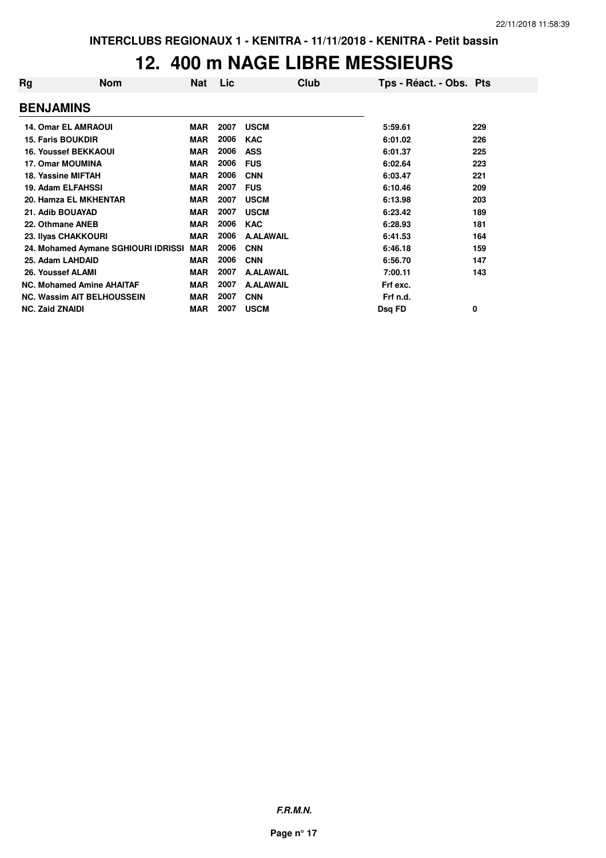#### **12. 400 m NAGE LIBRE MESSIEURS**

| Rg | <b>Nom</b>                          | Nat        | Lic  | Club             | Tps - Réact. - Obs. Pts |     |
|----|-------------------------------------|------------|------|------------------|-------------------------|-----|
|    | <b>BENJAMINS</b>                    |            |      |                  |                         |     |
|    | <b>14. Omar EL AMRAOUI</b>          | <b>MAR</b> | 2007 | <b>USCM</b>      | 5:59.61                 | 229 |
|    | <b>15. Faris BOUKDIR</b>            | <b>MAR</b> | 2006 | <b>KAC</b>       | 6:01.02                 | 226 |
|    | <b>16. Youssef BEKKAOUI</b>         | <b>MAR</b> | 2006 | <b>ASS</b>       | 6:01.37                 | 225 |
|    | <b>17. Omar MOUMINA</b>             | <b>MAR</b> | 2006 | <b>FUS</b>       | 6:02.64                 | 223 |
|    | 18. Yassine MIFTAH                  | <b>MAR</b> | 2006 | <b>CNN</b>       | 6:03.47                 | 221 |
|    | <b>19. Adam ELFAHSSI</b>            | <b>MAR</b> | 2007 | <b>FUS</b>       | 6:10.46                 | 209 |
|    | 20. Hamza EL MKHENTAR               | <b>MAR</b> | 2007 | <b>USCM</b>      | 6:13.98                 | 203 |
|    | 21. Adib BOUAYAD                    | <b>MAR</b> | 2007 | <b>USCM</b>      | 6:23.42                 | 189 |
|    | 22. Othmane ANEB                    | <b>MAR</b> | 2006 | <b>KAC</b>       | 6:28.93                 | 181 |
|    | 23. Ilyas CHAKKOURI                 | <b>MAR</b> | 2006 | <b>A.ALAWAIL</b> | 6:41.53                 | 164 |
|    | 24. Mohamed Aymane SGHIOURI IDRISSI | <b>MAR</b> | 2006 | <b>CNN</b>       | 6:46.18                 | 159 |
|    | 25. Adam LAHDAID                    | <b>MAR</b> | 2006 | <b>CNN</b>       | 6:56.70                 | 147 |
|    | 26. Youssef ALAMI                   | <b>MAR</b> | 2007 | <b>A.ALAWAIL</b> | 7:00.11                 | 143 |
|    | <b>NC. Mohamed Amine AHAITAF</b>    | <b>MAR</b> | 2007 | <b>A.ALAWAIL</b> | Frf exc.                |     |
|    | <b>NC. Wassim AIT BELHOUSSEIN</b>   | <b>MAR</b> | 2007 | <b>CNN</b>       | Frf n.d.                |     |
|    | <b>NC. Zaid ZNAIDI</b>              | <b>MAR</b> | 2007 | <b>USCM</b>      | Dsg FD                  | 0   |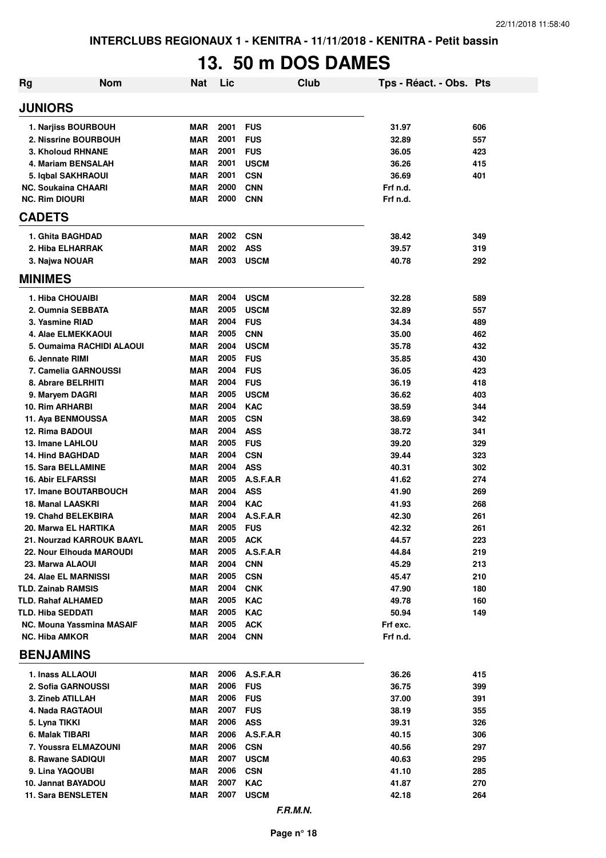# **13. 50 m DOS DAMES**

| Rg                                                 | <b>Nom</b>                | <b>Nat</b> | Lic          | <b>Club</b>              |                      | Tps - Réact. - Obs. Pts |     |
|----------------------------------------------------|---------------------------|------------|--------------|--------------------------|----------------------|-------------------------|-----|
| <b>JUNIORS</b>                                     |                           |            |              |                          |                      |                         |     |
| 1. Narjiss BOURBOUH                                |                           | MAR        | 2001         | <b>FUS</b>               | 31.97                |                         | 606 |
| 2. Nissrine BOURBOUH                               |                           | <b>MAR</b> | 2001         | <b>FUS</b>               | 32.89                |                         | 557 |
| 3. Kholoud RHNANE                                  |                           | <b>MAR</b> | 2001         | <b>FUS</b>               | 36.05                |                         | 423 |
| 4. Mariam BENSALAH                                 |                           | <b>MAR</b> | 2001         | <b>USCM</b>              | 36.26                |                         | 415 |
| 5. Iqbal SAKHRAOUI                                 |                           | <b>MAR</b> | 2001         | <b>CSN</b>               | 36.69                |                         | 401 |
| <b>NC. Soukaina CHAARI</b>                         |                           | <b>MAR</b> | 2000         | <b>CNN</b>               | Frf n.d.             |                         |     |
| <b>NC. Rim DIOURI</b>                              |                           | <b>MAR</b> | 2000         | <b>CNN</b>               | Frf n.d.             |                         |     |
| <b>CADETS</b>                                      |                           |            |              |                          |                      |                         |     |
| 1. Ghita BAGHDAD                                   |                           | <b>MAR</b> | 2002         | <b>CSN</b>               | 38.42                |                         | 349 |
| 2. Hiba ELHARRAK                                   |                           | <b>MAR</b> | 2002         | <b>ASS</b>               | 39.57                |                         | 319 |
| 3. Najwa NOUAR                                     |                           | <b>MAR</b> | 2003         | <b>USCM</b>              | 40.78                |                         | 292 |
| <b>MINIMES</b>                                     |                           |            |              |                          |                      |                         |     |
| 1. Hiba CHOUAIBI                                   |                           | <b>MAR</b> | 2004         | <b>USCM</b>              | 32.28                |                         | 589 |
| 2. Oumnia SEBBATA                                  |                           | <b>MAR</b> | 2005         | <b>USCM</b>              | 32.89                |                         | 557 |
| 3. Yasmine RIAD                                    |                           | <b>MAR</b> | 2004         | <b>FUS</b>               | 34.34                |                         | 489 |
| 4. Alae ELMEKKAOUI                                 |                           | <b>MAR</b> | 2005         | <b>CNN</b>               | 35.00                |                         | 462 |
|                                                    | 5. Oumaima RACHIDI ALAOUI | <b>MAR</b> | 2004         | <b>USCM</b>              | 35.78                |                         | 432 |
| 6. Jennate RIMI                                    |                           | <b>MAR</b> | 2005         | <b>FUS</b>               | 35.85                |                         | 430 |
| 7. Camelia GARNOUSSI                               |                           | <b>MAR</b> | 2004         | <b>FUS</b>               | 36.05                |                         | 423 |
| 8. Abrare BELRHITI                                 |                           | <b>MAR</b> | 2004         | <b>FUS</b>               | 36.19                |                         | 418 |
| 9. Maryem DAGRI                                    |                           | <b>MAR</b> | 2005         | <b>USCM</b>              | 36.62                |                         | 403 |
| 10. Rim ARHARBI                                    |                           | <b>MAR</b> | 2004         | <b>KAC</b>               | 38.59                |                         | 344 |
| 11. Aya BENMOUSSA                                  |                           | <b>MAR</b> | 2005         | <b>CSN</b>               | 38.69                |                         | 342 |
| 12. Rima BADOUI                                    |                           | <b>MAR</b> | 2004         | <b>ASS</b>               | 38.72                |                         | 341 |
| 13. Imane LAHLOU                                   |                           | <b>MAR</b> | 2005         | <b>FUS</b>               | 39.20                |                         | 329 |
| <b>14. Hind BAGHDAD</b>                            |                           | <b>MAR</b> | 2004         | <b>CSN</b>               | 39.44                |                         | 323 |
| <b>15. Sara BELLAMINE</b>                          |                           | <b>MAR</b> | 2004         | <b>ASS</b>               | 40.31                |                         | 302 |
| <b>16. Abir ELFARSSI</b>                           |                           | <b>MAR</b> | 2005         | A.S.F.A.R                | 41.62                |                         | 274 |
| 17. Imane BOUTARBOUCH                              |                           | <b>MAR</b> | 2004         | <b>ASS</b>               | 41.90                |                         | 269 |
| 18. Manal LAASKRI                                  |                           | <b>MAR</b> | 2004         | <b>KAC</b>               | 41.93                |                         | 268 |
| <b>19. Chahd BELEKBIRA</b>                         |                           | <b>MAR</b> | 2004         | A.S.F.A.R                | 42.30                |                         | 261 |
| 20. Marwa EL HARTIKA                               |                           | <b>MAR</b> | 2005         | <b>FUS</b>               | 42.32                |                         | 261 |
| 21. Nourzad KARROUK BAAYL                          |                           | MAR        | 2005         | <b>ACK</b>               | 44.57                |                         | 223 |
| 22. Nour Elhouda MAROUDI                           |                           | MAR        | 2005         | A.S.F.A.R                | 44.84                |                         | 219 |
| 23. Marwa ALAOUI                                   |                           | <b>MAR</b> | 2004         | <b>CNN</b>               | 45.29                |                         | 213 |
| 24. Alae EL MARNISSI                               |                           | <b>MAR</b> | 2005         | <b>CSN</b>               | 45.47                |                         | 210 |
| <b>TLD. Zainab RAMSIS</b>                          |                           | MAR        | 2004         | <b>CNK</b>               | 47.90                |                         | 180 |
| <b>TLD. Rahaf ALHAMED</b>                          |                           | <b>MAR</b> | 2005         | <b>KAC</b>               | 49.78                |                         | 160 |
| <b>TLD. Hiba SEDDATI</b>                           |                           | <b>MAR</b> | 2005<br>2005 | <b>KAC</b>               | 50.94                |                         | 149 |
| NC. Mouna Yassmina MASAIF<br><b>NC. Hiba AMKOR</b> |                           | MAR<br>MAR | 2004         | <b>ACK</b><br><b>CNN</b> | Frf exc.<br>Frf n.d. |                         |     |
| <b>BENJAMINS</b>                                   |                           |            |              |                          |                      |                         |     |
| 1. Inass ALLAOUI                                   |                           | MAR        | 2006         | A.S.F.A.R                | 36.26                |                         | 415 |
| 2. Sofia GARNOUSSI                                 |                           | MAR        | 2006         | <b>FUS</b>               | 36.75                |                         | 399 |
| 3. Zineb ATILLAH                                   |                           | MAR        | 2006         | <b>FUS</b>               | 37.00                |                         | 391 |
| 4. Nada RAGTAOUI                                   |                           | <b>MAR</b> | 2007         | <b>FUS</b>               | 38.19                |                         | 355 |
| 5. Lyna TIKKI                                      |                           | MAR        | 2006         | <b>ASS</b>               | 39.31                |                         | 326 |
| 6. Malak TIBARI                                    |                           | MAR        | 2006         | A.S.F.A.R                | 40.15                |                         | 306 |
| 7. Youssra ELMAZOUNI                               |                           | <b>MAR</b> | 2006         | <b>CSN</b>               | 40.56                |                         | 297 |
| 8. Rawane SADIQUI                                  |                           | MAR        | 2007         | <b>USCM</b>              | 40.63                |                         | 295 |
| 9. Lina YAQOUBI                                    |                           | MAR        | 2006         | <b>CSN</b>               | 41.10                |                         | 285 |
| 10. Jannat BAYADOU                                 |                           | <b>MAR</b> | 2007         | <b>KAC</b>               | 41.87                |                         | 270 |
| 11. Sara BENSLETEN                                 |                           | MAR        | 2007         | <b>USCM</b>              | 42.18                |                         | 264 |
|                                                    |                           |            |              | F.R.M.N.                 |                      |                         |     |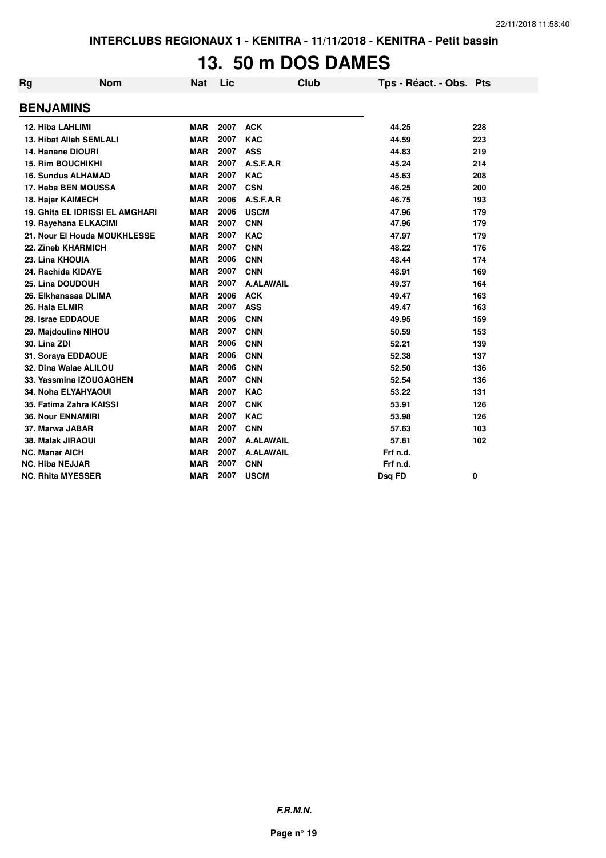# **13. 50 m DOS DAMES**

| Rg | <b>Nom</b>                             | Nat        | Lic  | <b>Club</b>      | Tps - Réact. - Obs. Pts |     |
|----|----------------------------------------|------------|------|------------------|-------------------------|-----|
|    | <b>BENJAMINS</b>                       |            |      |                  |                         |     |
|    | 12. Hiba LAHLIMI                       | <b>MAR</b> | 2007 | <b>ACK</b>       | 44.25                   | 228 |
|    | 13. Hibat Allah SEMLALI                | <b>MAR</b> | 2007 | <b>KAC</b>       | 44.59                   | 223 |
|    | 14. Hanane DIOURI                      | <b>MAR</b> | 2007 | <b>ASS</b>       | 44.83                   | 219 |
|    | <b>15. Rim BOUCHIKHI</b>               | <b>MAR</b> | 2007 | A.S.F.A.R        | 45.24                   | 214 |
|    | <b>16. Sundus ALHAMAD</b>              | <b>MAR</b> | 2007 | <b>KAC</b>       | 45.63                   | 208 |
|    | 17. Heba BEN MOUSSA                    | <b>MAR</b> | 2007 | <b>CSN</b>       | 46.25                   | 200 |
|    | 18. Hajar KAIMECH                      | <b>MAR</b> | 2006 | A.S.F.A.R        | 46.75                   | 193 |
|    | <b>19. Ghita EL IDRISSI EL AMGHARI</b> | <b>MAR</b> | 2006 | <b>USCM</b>      | 47.96                   | 179 |
|    | 19. Rayehana ELKACIMI                  | <b>MAR</b> | 2007 | <b>CNN</b>       | 47.96                   | 179 |
|    | 21. Nour El Houda MOUKHLESSE           | <b>MAR</b> | 2007 | <b>KAC</b>       | 47.97                   | 179 |
|    | 22. Zineb KHARMICH                     | <b>MAR</b> | 2007 | <b>CNN</b>       | 48.22                   | 176 |
|    | 23. Lina KHOUIA                        | <b>MAR</b> | 2006 | <b>CNN</b>       | 48.44                   | 174 |
|    | 24. Rachida KIDAYE                     | <b>MAR</b> | 2007 | <b>CNN</b>       | 48.91                   | 169 |
|    | 25. Lina DOUDOUH                       | <b>MAR</b> | 2007 | <b>A.ALAWAIL</b> | 49.37                   | 164 |
|    | 26. Elkhanssaa DLIMA                   | <b>MAR</b> | 2006 | <b>ACK</b>       | 49.47                   | 163 |
|    | 26. Hala ELMIR                         | <b>MAR</b> | 2007 | <b>ASS</b>       | 49.47                   | 163 |
|    | 28. Israe EDDAOUE                      | <b>MAR</b> | 2006 | <b>CNN</b>       | 49.95                   | 159 |
|    | 29. Majdouline NIHOU                   | <b>MAR</b> | 2007 | <b>CNN</b>       | 50.59                   | 153 |
|    | 30. Lina ZDI                           | <b>MAR</b> | 2006 | <b>CNN</b>       | 52.21                   | 139 |
|    | 31. Soraya EDDAOUE                     | <b>MAR</b> | 2006 | <b>CNN</b>       | 52.38                   | 137 |
|    | 32. Dina Walae ALILOU                  | <b>MAR</b> | 2006 | <b>CNN</b>       | 52.50                   | 136 |
|    | 33. Yassmina IZOUGAGHEN                | <b>MAR</b> | 2007 | <b>CNN</b>       | 52.54                   | 136 |
|    | 34. Noha ELYAHYAOUI                    | <b>MAR</b> | 2007 | <b>KAC</b>       | 53.22                   | 131 |
|    | 35. Fatima Zahra KAISSI                | <b>MAR</b> | 2007 | <b>CNK</b>       | 53.91                   | 126 |
|    | <b>36. Nour ENNAMIRI</b>               | <b>MAR</b> | 2007 | <b>KAC</b>       | 53.98                   | 126 |
|    | 37. Marwa JABAR                        | <b>MAR</b> | 2007 | <b>CNN</b>       | 57.63                   | 103 |
|    | 38. Malak JIRAOUI                      | <b>MAR</b> | 2007 | <b>A.ALAWAIL</b> | 57.81                   | 102 |
|    | <b>NC. Manar AICH</b>                  | <b>MAR</b> | 2007 | <b>A.ALAWAIL</b> | Frf n.d.                |     |
|    | <b>NC. Hiba NEJJAR</b>                 | <b>MAR</b> | 2007 | <b>CNN</b>       | Frf n.d.                |     |
|    | <b>NC. Rhita MYESSER</b>               | <b>MAR</b> | 2007 | <b>USCM</b>      | <b>Dsg FD</b>           | 0   |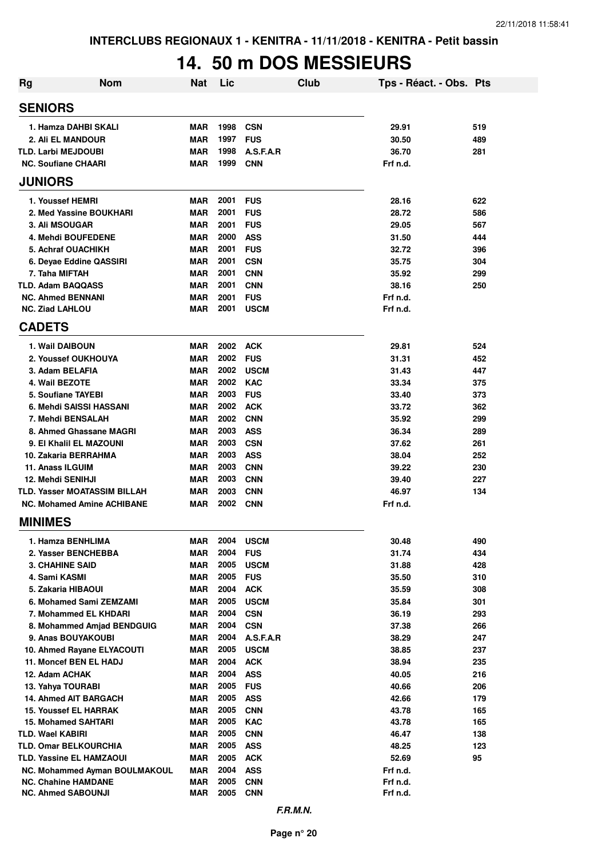### **14. 50 m DOS MESSIEURS**

| Rg | <b>Nom</b>                          | <b>Nat</b> | Lic  |             | Club | Tps - Réact. - Obs. Pts |     |
|----|-------------------------------------|------------|------|-------------|------|-------------------------|-----|
|    | <b>SENIORS</b>                      |            |      |             |      |                         |     |
|    | 1. Hamza DAHBI SKALI                | <b>MAR</b> | 1998 | <b>CSN</b>  |      | 29.91                   | 519 |
|    | 2. Ali EL MANDOUR                   | <b>MAR</b> | 1997 | <b>FUS</b>  |      | 30.50                   | 489 |
|    | <b>TLD. Larbi MEJDOUBI</b>          | <b>MAR</b> | 1998 | A.S.F.A.R   |      | 36.70                   | 281 |
|    | <b>NC. Soufiane CHAARI</b>          | <b>MAR</b> | 1999 | <b>CNN</b>  |      | Frf n.d.                |     |
|    | <b>JUNIORS</b>                      |            |      |             |      |                         |     |
|    | 1. Youssef HEMRI                    | MAR        | 2001 | <b>FUS</b>  |      | 28.16                   | 622 |
|    | 2. Med Yassine BOUKHARI             | <b>MAR</b> | 2001 | <b>FUS</b>  |      | 28.72                   | 586 |
|    | 3. Ali MSOUGAR                      | <b>MAR</b> | 2001 | <b>FUS</b>  |      | 29.05                   | 567 |
|    | 4. Mehdi BOUFEDENE                  | <b>MAR</b> | 2000 | <b>ASS</b>  |      | 31.50                   | 444 |
|    | 5. Achraf OUACHIKH                  | <b>MAR</b> | 2001 | <b>FUS</b>  |      | 32.72                   | 396 |
|    | 6. Deyae Eddine QASSIRI             | <b>MAR</b> | 2001 | <b>CSN</b>  |      | 35.75                   | 304 |
|    | 7. Taha MIFTAH                      | <b>MAR</b> | 2001 | <b>CNN</b>  |      | 35.92                   | 299 |
|    | <b>TLD. Adam BAQQASS</b>            | <b>MAR</b> | 2001 | <b>CNN</b>  |      | 38.16                   | 250 |
|    | <b>NC. Ahmed BENNANI</b>            | <b>MAR</b> | 2001 | <b>FUS</b>  |      | Frf n.d.                |     |
|    | <b>NC. Ziad LAHLOU</b>              | MAR        | 2001 | <b>USCM</b> |      | Frf n.d.                |     |
|    | <b>CADETS</b>                       |            |      |             |      |                         |     |
|    | 1. Wail DAIBOUN                     | MAR        | 2002 | ACK         |      | 29.81                   | 524 |
|    | 2. Youssef OUKHOUYA                 | <b>MAR</b> | 2002 | <b>FUS</b>  |      | 31.31                   | 452 |
|    | 3. Adam BELAFIA                     | MAR        | 2002 | <b>USCM</b> |      | 31.43                   | 447 |
|    | 4. Wail BEZOTE                      | MAR        | 2002 | <b>KAC</b>  |      | 33.34                   | 375 |
|    | 5. Soufiane TAYEBI                  | MAR        | 2003 | <b>FUS</b>  |      | 33.40                   | 373 |
|    | 6. Mehdi SAISSI HASSANI             | MAR        | 2002 | <b>ACK</b>  |      | 33.72                   | 362 |
|    | 7. Mehdi BENSALAH                   | <b>MAR</b> | 2002 | <b>CNN</b>  |      | 35.92                   | 299 |
|    | 8. Ahmed Ghassane MAGRI             | <b>MAR</b> | 2003 | <b>ASS</b>  |      | 36.34                   | 289 |
|    | 9. El Khalil EL MAZOUNI             | <b>MAR</b> | 2003 | <b>CSN</b>  |      | 37.62                   | 261 |
|    | 10. Zakaria BERRAHMA                | MAR        | 2003 | <b>ASS</b>  |      | 38.04                   | 252 |
|    | 11. Anass ILGUIM                    | <b>MAR</b> | 2003 | <b>CNN</b>  |      | 39.22                   | 230 |
|    | 12. Mehdi SENIHJI                   | <b>MAR</b> | 2003 | <b>CNN</b>  |      | 39.40                   | 227 |
|    | <b>TLD. Yasser MOATASSIM BILLAH</b> | <b>MAR</b> | 2003 | <b>CNN</b>  |      | 46.97                   | 134 |
|    | <b>NC. Mohamed Amine ACHIBANE</b>   | <b>MAR</b> | 2002 | <b>CNN</b>  |      | Frf n.d.                |     |
|    | <b>MINIMES</b>                      |            |      |             |      |                         |     |
|    | 1. Hamza BENHLIMA                   | MAR        | 2004 | <b>USCM</b> |      | 30.48                   | 490 |
|    | 2. Yasser BENCHEBBA                 | <b>MAR</b> | 2004 | <b>FUS</b>  |      | 31.74                   | 434 |
|    | <b>3. CHAHINE SAID</b>              | MAR        | 2005 | <b>USCM</b> |      | 31.88                   | 428 |
|    | 4. Sami KASMI                       | <b>MAR</b> | 2005 | <b>FUS</b>  |      | 35.50                   | 310 |
|    | 5. Zakaria HIBAOUI                  | <b>MAR</b> | 2004 | <b>ACK</b>  |      | 35.59                   | 308 |
|    | 6. Mohamed Sami ZEMZAMI             | MAR        | 2005 | <b>USCM</b> |      | 35.84                   | 301 |
|    | 7. Mohammed EL KHDARI               | MAR        | 2004 | <b>CSN</b>  |      | 36.19                   | 293 |
|    | 8. Mohammed Amjad BENDGUIG          | MAR        | 2004 | <b>CSN</b>  |      | 37.38                   | 266 |
|    | 9. Anas BOUYAKOUBI                  | <b>MAR</b> | 2004 | A.S.F.A.R   |      | 38.29                   | 247 |
|    | 10. Ahmed Rayane ELYACOUTI          | MAR        | 2005 | <b>USCM</b> |      | 38.85                   | 237 |
|    | 11. Moncef BEN EL HADJ              | MAR        | 2004 | <b>ACK</b>  |      | 38.94                   | 235 |
|    | 12. Adam ACHAK                      | MAR        | 2004 | <b>ASS</b>  |      | 40.05                   | 216 |
|    | 13. Yahya TOURABI                   | MAR        | 2005 | <b>FUS</b>  |      | 40.66                   | 206 |
|    | 14. Ahmed AIT BARGACH               | <b>MAR</b> | 2005 | <b>ASS</b>  |      | 42.66                   | 179 |
|    | <b>15. Youssef EL HARRAK</b>        | MAR        | 2005 | <b>CNN</b>  |      | 43.78                   | 165 |
|    | <b>15. Mohamed SAHTARI</b>          | <b>MAR</b> | 2005 | <b>KAC</b>  |      | 43.78                   | 165 |
|    | TLD. Wael KABIRI                    | <b>MAR</b> | 2005 | <b>CNN</b>  |      | 46.47                   | 138 |
|    | <b>TLD. Omar BELKOURCHIA</b>        | MAR        | 2005 | <b>ASS</b>  |      | 48.25                   | 123 |
|    | TLD. Yassine EL HAMZAOUI            | MAR        | 2005 | <b>ACK</b>  |      | 52.69                   | 95  |
|    | NC. Mohammed Ayman BOULMAKOUL       | <b>MAR</b> | 2004 | <b>ASS</b>  |      | Frf n.d.                |     |
|    | <b>NC. Chahine HAMDANE</b>          | <b>MAR</b> | 2005 | <b>CNN</b>  |      | Frf n.d.                |     |
|    | <b>NC. Ahmed SABOUNJI</b>           | MAR        | 2005 | <b>CNN</b>  |      | Frf n.d.                |     |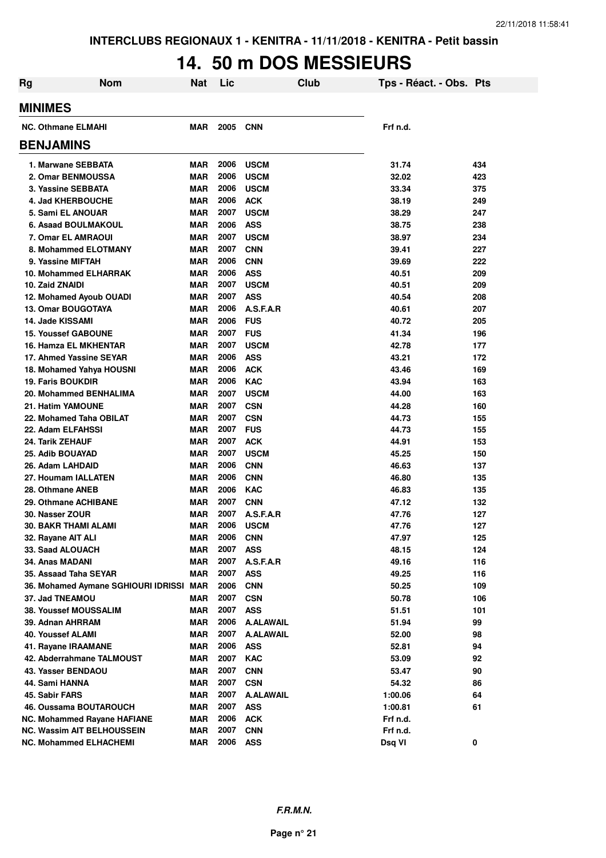# **14. 50 m DOS MESSIEURS**

| <b>Rg</b> | <b>Nom</b>                          | <b>Nat</b> | Lic  |                  | Club | Tps - Réact. - Obs. Pts |     |
|-----------|-------------------------------------|------------|------|------------------|------|-------------------------|-----|
|           | <b>MINIMES</b>                      |            |      |                  |      |                         |     |
|           | <b>NC. Othmane ELMAHI</b>           | <b>MAR</b> | 2005 | <b>CNN</b>       |      | Frf n.d.                |     |
|           | <b>BENJAMINS</b>                    |            |      |                  |      |                         |     |
|           | 1. Marwane SEBBATA                  | <b>MAR</b> | 2006 | <b>USCM</b>      |      | 31.74                   | 434 |
|           | 2. Omar BENMOUSSA                   | <b>MAR</b> | 2006 | <b>USCM</b>      |      | 32.02                   | 423 |
|           | 3. Yassine SEBBATA                  | <b>MAR</b> | 2006 | <b>USCM</b>      |      | 33.34                   | 375 |
|           | 4. Jad KHERBOUCHE                   | <b>MAR</b> | 2006 | <b>ACK</b>       |      | 38.19                   | 249 |
|           | 5. Sami EL ANOUAR                   | <b>MAR</b> | 2007 | <b>USCM</b>      |      | 38.29                   | 247 |
|           | 6. Asaad BOULMAKOUL                 | <b>MAR</b> | 2006 | <b>ASS</b>       |      | 38.75                   | 238 |
|           | 7. Omar EL AMRAOUI                  | <b>MAR</b> | 2007 | <b>USCM</b>      |      | 38.97                   | 234 |
|           | 8. Mohammed ELOTMANY                | <b>MAR</b> | 2007 | <b>CNN</b>       |      | 39.41                   | 227 |
|           | 9. Yassine MIFTAH                   | <b>MAR</b> | 2006 | <b>CNN</b>       |      | 39.69                   | 222 |
|           | 10. Mohammed ELHARRAK               | <b>MAR</b> | 2006 | <b>ASS</b>       |      | 40.51                   | 209 |
|           | 10. Zaid ZNAIDI                     | <b>MAR</b> | 2007 | <b>USCM</b>      |      | 40.51                   | 209 |
|           | 12. Mohamed Ayoub OUADI             | <b>MAR</b> | 2007 | <b>ASS</b>       |      | 40.54                   | 208 |
|           | <b>13. Omar BOUGOTAYA</b>           | <b>MAR</b> | 2006 | A.S.F.A.R        |      | 40.61                   | 207 |
|           | 14. Jade KISSAMI                    | <b>MAR</b> | 2006 | <b>FUS</b>       |      | 40.72                   | 205 |
|           | <b>15. Youssef GABOUNE</b>          | <b>MAR</b> | 2007 | <b>FUS</b>       |      | 41.34                   | 196 |
|           | <b>16. Hamza EL MKHENTAR</b>        | <b>MAR</b> | 2007 | <b>USCM</b>      |      | 42.78                   | 177 |
|           | 17. Ahmed Yassine SEYAR             | <b>MAR</b> | 2006 | <b>ASS</b>       |      | 43.21                   | 172 |
|           | 18. Mohamed Yahya HOUSNI            | <b>MAR</b> | 2006 | <b>ACK</b>       |      | 43.46                   | 169 |
|           | <b>19. Faris BOUKDIR</b>            | <b>MAR</b> | 2006 | <b>KAC</b>       |      | 43.94                   | 163 |
|           | 20. Mohammed BENHALIMA              | <b>MAR</b> | 2007 | <b>USCM</b>      |      | 44.00                   | 163 |
|           | 21. Hatim YAMOUNE                   | <b>MAR</b> | 2007 | <b>CSN</b>       |      | 44.28                   | 160 |
|           | 22. Mohamed Taha OBILAT             | <b>MAR</b> | 2007 | <b>CSN</b>       |      | 44.73                   | 155 |
|           | 22. Adam ELFAHSSI                   | <b>MAR</b> | 2007 | <b>FUS</b>       |      | 44.73                   | 155 |
|           | 24. Tarik ZEHAUF                    | <b>MAR</b> | 2007 | <b>ACK</b>       |      | 44.91                   | 153 |
|           | 25. Adib BOUAYAD                    | <b>MAR</b> | 2007 | <b>USCM</b>      |      | 45.25                   | 150 |
|           | 26. Adam LAHDAID                    | <b>MAR</b> | 2006 | <b>CNN</b>       |      | 46.63                   | 137 |
|           | 27. Houmam IALLATEN                 | <b>MAR</b> | 2006 | <b>CNN</b>       |      | 46.80                   | 135 |
|           | 28. Othmane ANEB                    | <b>MAR</b> | 2006 | <b>KAC</b>       |      | 46.83                   | 135 |
|           | 29. Othmane ACHIBANE                | <b>MAR</b> | 2007 | <b>CNN</b>       |      | 47.12                   | 132 |
|           | 30. Nasser ZOUR                     | <b>MAR</b> | 2007 | A.S.F.A.R        |      | 47.76                   | 127 |
|           | 30. BAKR THAMI ALAMI                | <b>MAR</b> | 2006 | <b>USCM</b>      |      | 47.76                   | 127 |
|           | 32. Rayane AIT ALI                  | <b>MAR</b> | 2006 | <b>CNN</b>       |      | 47.97                   | 125 |
|           | 33. Saad ALOUACH                    | <b>MAR</b> | 2007 | <b>ASS</b>       |      | 48.15                   | 124 |
|           | 34. Anas MADANI                     | <b>MAR</b> | 2007 | A.S.F.A.R        |      | 49.16                   | 116 |
|           | 35. Assaad Taha SEYAR               | <b>MAR</b> | 2007 | <b>ASS</b>       |      | 49.25                   | 116 |
|           | 36. Mohamed Aymane SGHIOURI IDRISSI | <b>MAR</b> | 2006 | <b>CNN</b>       |      | 50.25                   | 109 |
|           | 37. Jad TNEAMOU                     | MAR        | 2007 | <b>CSN</b>       |      | 50.78                   | 106 |
|           | <b>38. Youssef MOUSSALIM</b>        | MAR        | 2007 | <b>ASS</b>       |      | 51.51                   | 101 |
|           | 39. Adnan AHRRAM                    | MAR        | 2006 | A.ALAWAIL        |      | 51.94                   | 99  |
|           | 40. Youssef ALAMI                   | MAR        | 2007 | <b>A.ALAWAIL</b> |      | 52.00                   | 98  |
|           | 41. Rayane IRAAMANE                 | <b>MAR</b> | 2006 | <b>ASS</b>       |      | 52.81                   | 94  |
|           | 42. Abderrahmane TALMOUST           | MAR        | 2007 | <b>KAC</b>       |      | 53.09                   | 92  |
|           | 43. Yasser BENDAOU                  | MAR        | 2007 | <b>CNN</b>       |      | 53.47                   | 90  |
|           | 44. Sami HANNA                      | MAR        | 2007 | <b>CSN</b>       |      | 54.32                   | 86  |
|           | 45. Sabir FARS                      | <b>MAR</b> | 2007 | <b>A.ALAWAIL</b> |      | 1:00.06                 | 64  |
|           | 46. Oussama BOUTAROUCH              | <b>MAR</b> | 2007 | <b>ASS</b>       |      | 1:00.81                 | 61  |
|           | <b>NC. Mohammed Rayane HAFIANE</b>  | MAR        | 2006 | <b>ACK</b>       |      | Frf n.d.                |     |
|           | NC. Wassim AIT BELHOUSSEIN          | <b>MAR</b> | 2007 | <b>CNN</b>       |      | Frf n.d.                |     |
|           | <b>NC. Mohammed ELHACHEMI</b>       | <b>MAR</b> | 2006 | <b>ASS</b>       |      | Dsq VI                  | 0   |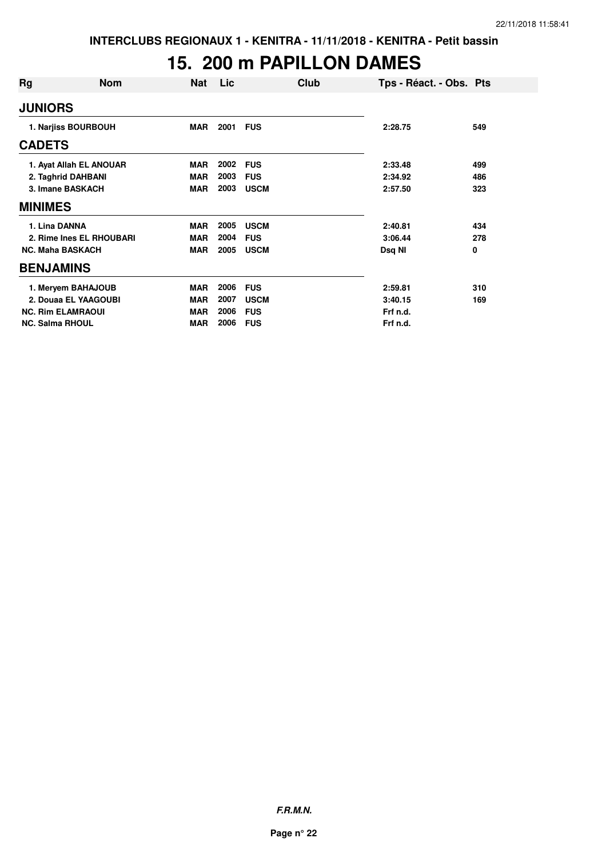# **15. 200 m PAPILLON DAMES**

| Rg                       | <b>Nom</b>               | Nat        | Lic  | Club        | Tps - Réact. - Obs. Pts |     |
|--------------------------|--------------------------|------------|------|-------------|-------------------------|-----|
| <b>JUNIORS</b>           |                          |            |      |             |                         |     |
|                          | 1. Narjiss BOURBOUH      | MAR        | 2001 | <b>FUS</b>  | 2:28.75                 | 549 |
| <b>CADETS</b>            |                          |            |      |             |                         |     |
|                          | 1. Ayat Allah EL ANOUAR  | <b>MAR</b> | 2002 | <b>FUS</b>  | 2:33.48                 | 499 |
|                          | 2. Taghrid DAHBANI       | <b>MAR</b> | 2003 | <b>FUS</b>  | 2:34.92                 | 486 |
|                          | 3. Imane BASKACH         | <b>MAR</b> | 2003 | <b>USCM</b> | 2:57.50                 | 323 |
| <b>MINIMES</b>           |                          |            |      |             |                         |     |
| 1. Lina DANNA            |                          | <b>MAR</b> | 2005 | <b>USCM</b> | 2:40.81                 | 434 |
|                          | 2. Rime Ines EL RHOUBARI | <b>MAR</b> | 2004 | <b>FUS</b>  | 3:06.44                 | 278 |
| <b>NC. Maha BASKACH</b>  |                          | <b>MAR</b> | 2005 | <b>USCM</b> | Dsq NI                  | 0   |
| <b>BENJAMINS</b>         |                          |            |      |             |                         |     |
|                          | 1. Meryem BAHAJOUB       | <b>MAR</b> | 2006 | <b>FUS</b>  | 2:59.81                 | 310 |
|                          | 2. Douaa EL YAAGOUBI     | <b>MAR</b> | 2007 | <b>USCM</b> | 3:40.15                 | 169 |
| <b>NC. Rim ELAMRAOUI</b> |                          | <b>MAR</b> | 2006 | <b>FUS</b>  | Frf n.d.                |     |
| <b>NC. Salma RHOUL</b>   |                          | <b>MAR</b> | 2006 | <b>FUS</b>  | Frf n.d.                |     |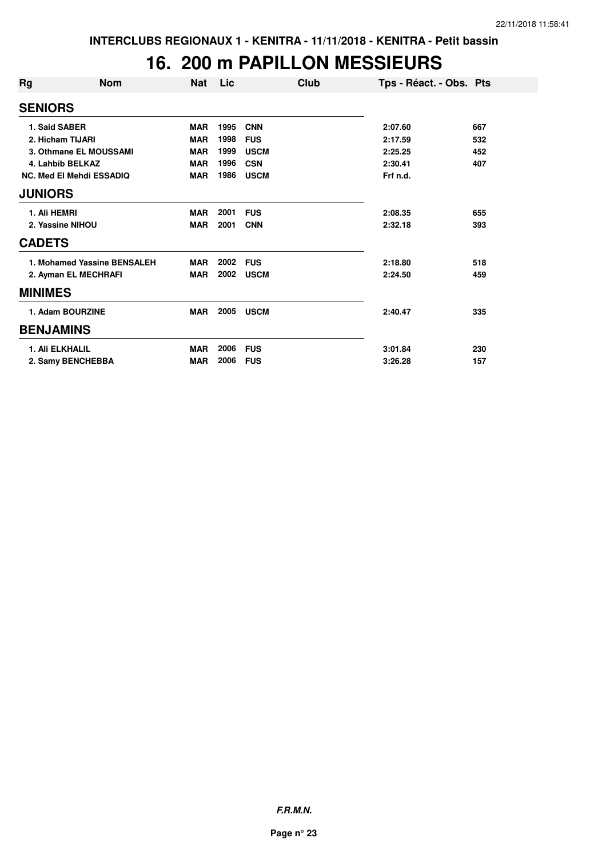#### **16. 200 m PAPILLON MESSIEURS**

| Rg               | <b>Nom</b>                      | <b>Nat</b> | Lic  | Club        | Tps - Réact. - Obs. Pts |     |
|------------------|---------------------------------|------------|------|-------------|-------------------------|-----|
| <b>SENIORS</b>   |                                 |            |      |             |                         |     |
|                  | 1. Said SABER                   | <b>MAR</b> | 1995 | <b>CNN</b>  | 2:07.60                 | 667 |
|                  | 2. Hicham TIJARI                | <b>MAR</b> | 1998 | <b>FUS</b>  | 2:17.59                 | 532 |
|                  | 3. Othmane EL MOUSSAMI          | <b>MAR</b> | 1999 | <b>USCM</b> | 2:25.25                 | 452 |
|                  | 4. Lahbib BELKAZ                | <b>MAR</b> | 1996 | <b>CSN</b>  | 2:30.41                 | 407 |
|                  | <b>NC. Med El Mehdi ESSADIQ</b> | <b>MAR</b> | 1986 | <b>USCM</b> | Frf n.d.                |     |
| <b>JUNIORS</b>   |                                 |            |      |             |                         |     |
| 1. Ali HEMRI     |                                 | <b>MAR</b> | 2001 | <b>FUS</b>  | 2:08.35                 | 655 |
|                  | 2. Yassine NIHOU                | <b>MAR</b> | 2001 | <b>CNN</b>  | 2:32.18                 | 393 |
| <b>CADETS</b>    |                                 |            |      |             |                         |     |
|                  | 1. Mohamed Yassine BENSALEH     | <b>MAR</b> | 2002 | <b>FUS</b>  | 2:18.80                 | 518 |
|                  | 2. Ayman EL MECHRAFI            | <b>MAR</b> | 2002 | <b>USCM</b> | 2:24.50                 | 459 |
| <b>MINIMES</b>   |                                 |            |      |             |                         |     |
|                  | 1. Adam BOURZINE                | <b>MAR</b> | 2005 | <b>USCM</b> | 2:40.47                 | 335 |
| <b>BENJAMINS</b> |                                 |            |      |             |                         |     |
|                  | <b>1. Ali ELKHALIL</b>          | <b>MAR</b> | 2006 | <b>FUS</b>  | 3:01.84                 | 230 |
|                  | 2. Samy BENCHEBBA               | <b>MAR</b> | 2006 | <b>FUS</b>  | 3:26.28                 | 157 |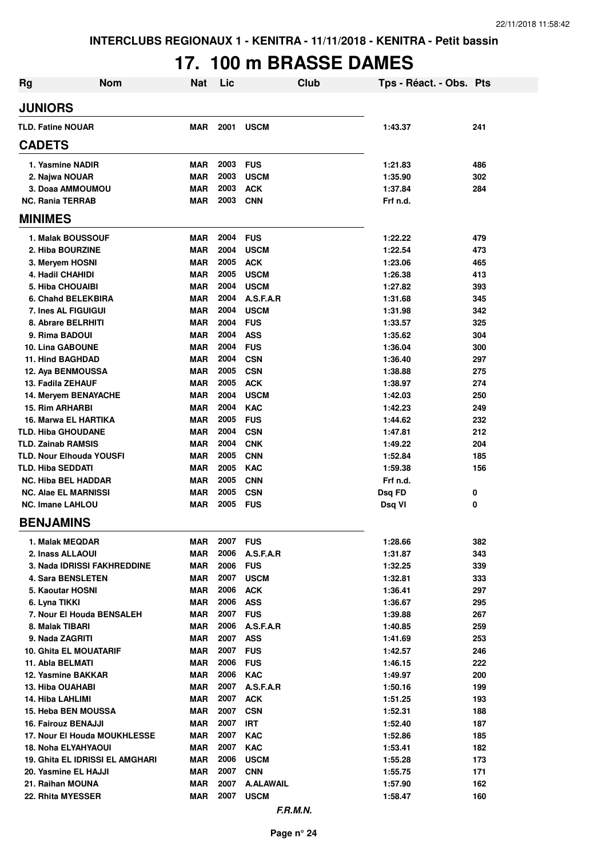# **17. 100 m BRASSE DAMES**

| <b>Rg</b>                                         | <b>Nom</b>                             | <b>Nat</b>               | Lic          | <b>Club</b>                     | Tps - Réact. - Obs. Pts |            |
|---------------------------------------------------|----------------------------------------|--------------------------|--------------|---------------------------------|-------------------------|------------|
| <b>JUNIORS</b>                                    |                                        |                          |              |                                 |                         |            |
| <b>TLD. Fatine NOUAR</b>                          |                                        | <b>MAR</b>               | 2001         | <b>USCM</b>                     | 1:43.37                 | 241        |
| <b>CADETS</b>                                     |                                        |                          |              |                                 |                         |            |
| 1. Yasmine NADIR                                  |                                        | <b>MAR</b>               | 2003         | <b>FUS</b>                      | 1:21.83                 | 486        |
| 2. Najwa NOUAR                                    |                                        | <b>MAR</b>               | 2003         | <b>USCM</b>                     | 1:35.90                 | 302        |
| 3. Doaa AMMOUMOU                                  |                                        | <b>MAR</b>               | 2003         | <b>ACK</b>                      | 1:37.84                 | 284        |
| <b>NC. Rania TERRAB</b>                           |                                        | <b>MAR</b>               | 2003         | <b>CNN</b>                      | Frf n.d.                |            |
| <b>MINIMES</b>                                    |                                        |                          |              |                                 |                         |            |
| 1. Malak BOUSSOUF                                 |                                        | <b>MAR</b>               | 2004         | <b>FUS</b>                      | 1:22.22                 | 479        |
| 2. Hiba BOURZINE                                  |                                        | <b>MAR</b>               | 2004         | <b>USCM</b>                     | 1:22.54                 | 473        |
| 3. Meryem HOSNI                                   |                                        | <b>MAR</b>               | 2005         | <b>ACK</b>                      | 1:23.06                 | 465        |
| 4. Hadil CHAHIDI                                  |                                        | <b>MAR</b>               | 2005         | <b>USCM</b>                     | 1:26.38                 | 413        |
| <b>5. Hiba CHOUAIBI</b>                           |                                        | <b>MAR</b>               | 2004         | <b>USCM</b>                     | 1:27.82                 | 393        |
| 6. Chahd BELEKBIRA                                |                                        | <b>MAR</b>               | 2004         | A.S.F.A.R                       | 1:31.68                 | 345        |
| 7. Ines AL FIGUIGUI                               |                                        | <b>MAR</b>               | 2004         | <b>USCM</b>                     | 1:31.98                 | 342        |
| 8. Abrare BELRHITI                                |                                        | <b>MAR</b>               | 2004         | <b>FUS</b>                      | 1:33.57                 | 325        |
| 9. Rima BADOUI                                    |                                        | <b>MAR</b>               | 2004         | <b>ASS</b>                      | 1:35.62                 | 304        |
| <b>10. Lina GABOUNE</b>                           |                                        | <b>MAR</b>               | 2004         | <b>FUS</b>                      | 1:36.04                 | 300        |
| <b>11. Hind BAGHDAD</b>                           |                                        | <b>MAR</b>               | 2004         | <b>CSN</b>                      | 1:36.40                 | 297        |
| 12. Aya BENMOUSSA                                 |                                        | <b>MAR</b>               | 2005         | <b>CSN</b>                      | 1:38.88                 | 275        |
| 13. Fadila ZEHAUF                                 |                                        | <b>MAR</b>               | 2005         | <b>ACK</b>                      | 1:38.97                 | 274        |
| 14. Meryem BENAYACHE                              |                                        | <b>MAR</b>               | 2004<br>2004 | <b>USCM</b>                     | 1:42.03                 | 250        |
| <b>15. Rim ARHARBI</b>                            |                                        | MAR                      | 2005         | <b>KAC</b>                      | 1:42.23                 | 249        |
| 16. Marwa EL HARTIKA<br><b>TLD. Hiba GHOUDANE</b> |                                        | MAR<br><b>MAR</b>        | 2004         | <b>FUS</b><br><b>CSN</b>        | 1:44.62<br>1:47.81      | 232<br>212 |
| <b>TLD. Zainab RAMSIS</b>                         |                                        | <b>MAR</b>               | 2004         | <b>CNK</b>                      | 1:49.22                 | 204        |
| <b>TLD. Nour Elhouda YOUSFI</b>                   |                                        | <b>MAR</b>               | 2005         | <b>CNN</b>                      | 1:52.84                 | 185        |
| <b>TLD. Hiba SEDDATI</b>                          |                                        | <b>MAR</b>               | 2005         | <b>KAC</b>                      | 1:59.38                 | 156        |
| <b>NC. Hiba BEL HADDAR</b>                        |                                        | MAR                      | 2005         | <b>CNN</b>                      | Frf n.d.                |            |
| <b>NC. Alae EL MARNISSI</b>                       |                                        | <b>MAR</b>               | 2005         | <b>CSN</b>                      | Dsg FD                  | 0          |
| <b>NC. Imane LAHLOU</b>                           |                                        | MAR                      | 2005         | <b>FUS</b>                      | Dsq VI                  | 0          |
| <b>BENJAMINS</b>                                  |                                        |                          |              |                                 |                         |            |
| 1. Malak MEQDAR                                   |                                        | <b>MAR</b>               | 2007         | <b>FUS</b>                      | 1:28.66                 | 382        |
| 2. Inass ALLAOUI                                  |                                        | MAR                      | 2006         | A.S.F.A.R                       | 1:31.87                 | 343        |
|                                                   | 3. Nada IDRISSI FAKHREDDINE            | <b>MAR</b>               | 2006         | <b>FUS</b>                      | 1:32.25                 | 339        |
| <b>4. Sara BENSLETEN</b>                          |                                        | <b>MAR</b>               | 2007         | <b>USCM</b>                     | 1:32.81                 | 333        |
| 5. Kaoutar HOSNI                                  |                                        | MAR                      | 2006         | <b>ACK</b>                      | 1:36.41                 | 297        |
| 6. Lyna TIKKI                                     |                                        | <b>MAR</b>               | 2006         | <b>ASS</b>                      | 1:36.67                 | 295        |
| 7. Nour El Houda BENSALEH                         |                                        | MAR                      | 2007         | <b>FUS</b>                      | 1:39.88                 | 267        |
| 8. Malak TIBARI                                   |                                        | MAR                      | 2006         | A.S.F.A.R                       | 1:40.85                 | 259        |
| 9. Nada ZAGRITI                                   |                                        | <b>MAR</b>               | 2007         | ASS                             | 1:41.69                 | 253        |
| <b>10. Ghita EL MOUATARIF</b>                     |                                        | MAR                      | 2007         | <b>FUS</b>                      | 1:42.57                 | 246        |
| 11. Abla BELMATI                                  |                                        | <b>MAR</b>               | 2006         | <b>FUS</b>                      | 1:46.15                 | 222        |
| 12. Yasmine BAKKAR                                |                                        | <b>MAR</b>               | 2006         | <b>KAC</b>                      | 1:49.97                 | 200        |
| 13. Hiba OUAHABI                                  |                                        | <b>MAR</b>               | 2007         | A.S.F.A.R                       | 1:50.16                 | 199        |
| 14. Hiba LAHLIMI                                  |                                        | <b>MAR</b>               | 2007         | <b>ACK</b>                      | 1:51.25                 | 193        |
| 15. Heba BEN MOUSSA                               |                                        | <b>MAR</b>               | 2007         | <b>CSN</b>                      | 1:52.31                 | 188        |
| 16. Fairouz BENAJJI                               |                                        | <b>MAR</b>               | 2007         | <b>IRT</b>                      | 1:52.40                 | 187        |
|                                                   | 17. Nour El Houda MOUKHLESSE           | <b>MAR</b>               | 2007         | <b>KAC</b>                      | 1:52.86                 | 185        |
| <b>18. Noha ELYAHYAOUI</b>                        |                                        | <b>MAR</b>               | 2007         | <b>KAC</b>                      | 1:53.41                 | 182        |
|                                                   | <b>19. Ghita EL IDRISSI EL AMGHARI</b> | <b>MAR</b>               | 2006         | <b>USCM</b>                     | 1:55.28                 | 173        |
| 20. Yasmine EL HAJJI                              |                                        | <b>MAR</b>               | 2007<br>2007 | <b>CNN</b>                      | 1:55.75                 | 171        |
| 21. Raihan MOUNA<br>22. Rhita MYESSER             |                                        | <b>MAR</b><br><b>MAR</b> | 2007         | <b>A.ALAWAIL</b><br><b>USCM</b> | 1:57.90<br>1:58.47      | 162<br>160 |
|                                                   |                                        |                          |              |                                 |                         |            |
|                                                   |                                        |                          |              | F.R.M.N.                        |                         |            |

**Page n° 24**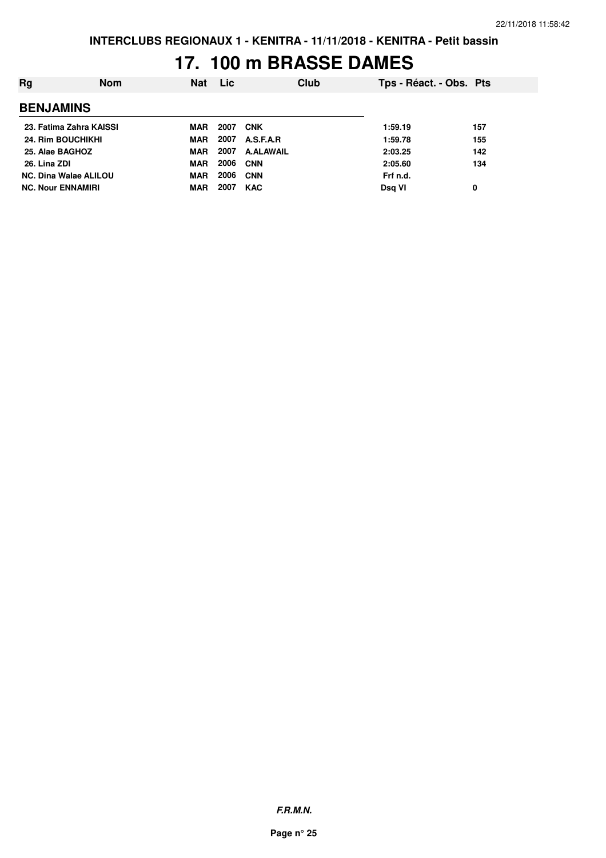### **17. 100 m BRASSE DAMES**

| Rg                           | <b>Nom</b> | <b>Nat</b> | <b>Lic</b> |                  | Club | Tps - Réact. - Obs. Pts |     |
|------------------------------|------------|------------|------------|------------------|------|-------------------------|-----|
| <b>BENJAMINS</b>             |            |            |            |                  |      |                         |     |
| 23. Fatima Zahra KAISSI      |            | MAR        | 2007       | <b>CNK</b>       |      | 1:59.19                 | 157 |
| 24. Rim BOUCHIKHI            |            | MAR        | 2007       | A.S.F.A.R        |      | 1:59.78                 | 155 |
| 25. Alae BAGHOZ              |            | MAR        | 2007       | <b>A.ALAWAIL</b> |      | 2:03.25                 | 142 |
| 26. Lina ZDI                 |            | <b>MAR</b> | 2006       | <b>CNN</b>       |      | 2:05.60                 | 134 |
| <b>NC. Dina Walae ALILOU</b> |            | <b>MAR</b> | 2006       | <b>CNN</b>       |      | Frf n.d.                |     |
| <b>NC. Nour ENNAMIRI</b>     |            | <b>MAR</b> | 2007       | <b>KAC</b>       |      | Dsg VI                  | 0   |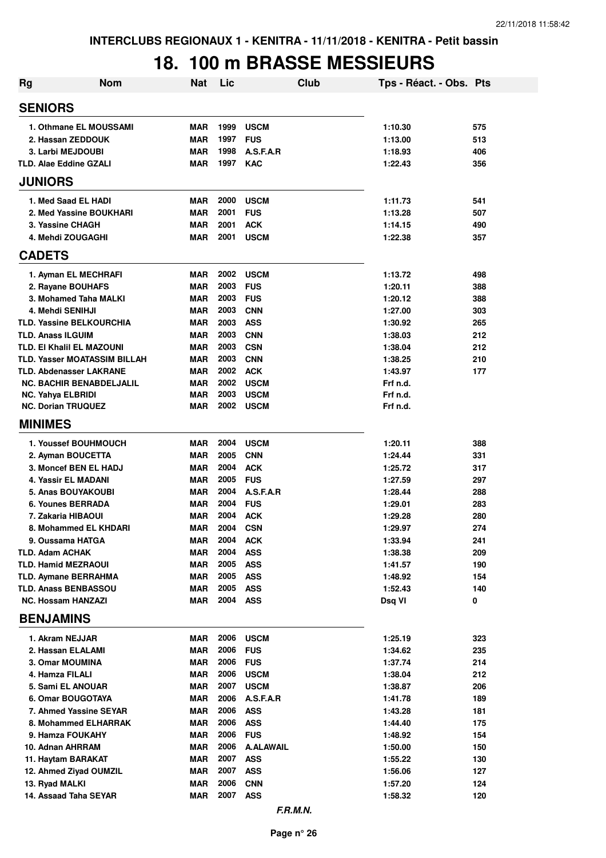## **18. 100 m BRASSE MESSIEURS**

| Rg                                                          | <b>Nom</b> | <b>Nat</b>               | Lic          |                          | <b>Club</b> | Tps - Réact. - Obs. Pts |            |
|-------------------------------------------------------------|------------|--------------------------|--------------|--------------------------|-------------|-------------------------|------------|
| <b>SENIORS</b>                                              |            |                          |              |                          |             |                         |            |
| 1. Othmane EL MOUSSAMI                                      |            | <b>MAR</b>               | 1999         | <b>USCM</b>              |             | 1:10.30                 | 575        |
| 2. Hassan ZEDDOUK                                           |            | <b>MAR</b>               | 1997         | <b>FUS</b>               |             | 1:13.00                 | 513        |
| 3. Larbi MEJDOUBI                                           |            | <b>MAR</b>               | 1998         | A.S.F.A.R                |             | 1:18.93                 | 406        |
| <b>TLD. Alae Eddine GZALI</b>                               |            | <b>MAR</b>               | 1997         | <b>KAC</b>               |             | 1:22.43                 | 356        |
| <b>JUNIORS</b>                                              |            |                          |              |                          |             |                         |            |
| 1. Med Saad EL HADI                                         |            | <b>MAR</b>               | 2000         | <b>USCM</b>              |             | 1:11.73                 | 541        |
| 2. Med Yassine BOUKHARI                                     |            | <b>MAR</b>               | 2001         | <b>FUS</b>               |             | 1:13.28                 | 507        |
| 3. Yassine CHAGH                                            |            | <b>MAR</b>               | 2001         | <b>ACK</b>               |             | 1:14.15                 | 490        |
| 4. Mehdi ZOUGAGHI                                           |            | <b>MAR</b>               | 2001         | <b>USCM</b>              |             | 1:22.38                 | 357        |
| <b>CADETS</b>                                               |            |                          |              |                          |             |                         |            |
| 1. Ayman EL MECHRAFI                                        |            | <b>MAR</b>               | 2002         | <b>USCM</b>              |             | 1:13.72                 | 498        |
| 2. Rayane BOUHAFS                                           |            | <b>MAR</b>               | 2003         | <b>FUS</b>               |             | 1:20.11                 | 388        |
| 3. Mohamed Taha MALKI                                       |            | <b>MAR</b>               | 2003         | <b>FUS</b>               |             | 1:20.12                 | 388        |
| 4. Mehdi SENIHJI                                            |            | <b>MAR</b>               | 2003         | <b>CNN</b>               |             | 1:27.00                 | 303        |
| <b>TLD. Yassine BELKOURCHIA</b><br><b>TLD. Anass ILGUIM</b> |            | <b>MAR</b><br><b>MAR</b> | 2003<br>2003 | <b>ASS</b><br><b>CNN</b> |             | 1:30.92                 | 265<br>212 |
| <b>TLD. EI Khalil EL MAZOUNI</b>                            |            | <b>MAR</b>               | 2003         | <b>CSN</b>               |             | 1:38.03<br>1:38.04      | 212        |
| <b>TLD. Yasser MOATASSIM BILLAH</b>                         |            | <b>MAR</b>               | 2003         | <b>CNN</b>               |             | 1:38.25                 | 210        |
| <b>TLD. Abdenasser LAKRANE</b>                              |            | <b>MAR</b>               | 2002         | <b>ACK</b>               |             | 1:43.97                 | 177        |
| <b>NC. BACHIR BENABDELJALIL</b>                             |            | <b>MAR</b>               | 2002         | <b>USCM</b>              |             | Frf n.d.                |            |
| <b>NC. Yahya ELBRIDI</b>                                    |            | <b>MAR</b>               | 2003         | <b>USCM</b>              |             | Frf n.d.                |            |
| <b>NC. Dorian TRUQUEZ</b>                                   |            | <b>MAR</b>               | 2002         | <b>USCM</b>              |             | Frf n.d.                |            |
| <b>MINIMES</b>                                              |            |                          |              |                          |             |                         |            |
| 1. Youssef BOUHMOUCH                                        |            | <b>MAR</b>               | 2004         | <b>USCM</b>              |             | 1:20.11                 | 388        |
| 2. Ayman BOUCETTA                                           |            | <b>MAR</b>               | 2005         | <b>CNN</b>               |             | 1:24.44                 | 331        |
| 3. Moncef BEN EL HADJ                                       |            | <b>MAR</b>               | 2004         | <b>ACK</b>               |             | 1:25.72                 | 317        |
| 4. Yassir EL MADANI                                         |            | <b>MAR</b>               | 2005         | <b>FUS</b>               |             | 1:27.59                 | 297        |
| <b>5. Anas BOUYAKOUBI</b>                                   |            | <b>MAR</b>               | 2004         | A.S.F.A.R                |             | 1:28.44                 | 288        |
| <b>6. Younes BERRADA</b>                                    |            | <b>MAR</b>               | 2004         | <b>FUS</b>               |             | 1:29.01                 | 283        |
| 7. Zakaria HIBAOUI                                          |            | <b>MAR</b>               | 2004         | <b>ACK</b>               |             | 1:29.28                 | 280        |
| 8. Mohammed EL KHDARI                                       |            | <b>MAR</b>               | 2004         | <b>CSN</b>               |             | 1:29.97                 | 274        |
| 9. Oussama HATGA<br><b>TLD. Adam ACHAK</b>                  |            | MAR<br><b>MAR</b>        | 2004<br>2004 | <b>ACK</b><br><b>ASS</b> |             | 1:33.94<br>1:38.38      | 241<br>209 |
| <b>TLD. Hamid MEZRAOUI</b>                                  |            | <b>MAR</b>               | 2005         | <b>ASS</b>               |             | 1:41.57                 | 190        |
| <b>TLD. Aymane BERRAHMA</b>                                 |            | <b>MAR</b>               | 2005         | <b>ASS</b>               |             | 1:48.92                 | 154        |
| <b>TLD. Anass BENBASSOU</b>                                 |            | <b>MAR</b>               | 2005         | <b>ASS</b>               |             | 1:52.43                 | 140        |
| <b>NC. Hossam HANZAZI</b>                                   |            | MAR                      | 2004         | <b>ASS</b>               |             | Dsq VI                  | 0          |
| <b>BENJAMINS</b>                                            |            |                          |              |                          |             |                         |            |
| 1. Akram NEJJAR                                             |            | MAR                      | 2006         | <b>USCM</b>              |             | 1:25.19                 | 323        |
| 2. Hassan ELALAMI                                           |            | <b>MAR</b>               | 2006         | <b>FUS</b>               |             | 1:34.62                 | 235        |
| 3. Omar MOUMINA                                             |            | <b>MAR</b>               | 2006         | <b>FUS</b>               |             | 1:37.74                 | 214        |
| 4. Hamza FILALI                                             |            | <b>MAR</b>               | 2006         | <b>USCM</b>              |             | 1:38.04                 | 212        |
| 5. Sami EL ANOUAR                                           |            | <b>MAR</b>               | 2007         | <b>USCM</b>              |             | 1:38.87                 | 206        |
| 6. Omar BOUGOTAYA                                           |            | <b>MAR</b>               | 2006<br>2006 | A.S.F.A.R                |             | 1:41.78                 | 189        |
| 7. Ahmed Yassine SEYAR<br>8. Mohammed ELHARRAK              |            | <b>MAR</b><br><b>MAR</b> | 2006         | <b>ASS</b><br><b>ASS</b> |             | 1:43.28                 | 181        |
| 9. Hamza FOUKAHY                                            |            | MAR                      | 2006         | <b>FUS</b>               |             | 1:44.40<br>1:48.92      | 175<br>154 |
| 10. Adnan AHRRAM                                            |            | MAR                      | 2006         | <b>A.ALAWAIL</b>         |             | 1:50.00                 | 150        |
| 11. Haytam BARAKAT                                          |            | <b>MAR</b>               | 2007         | <b>ASS</b>               |             | 1:55.22                 | 130        |
| 12. Ahmed Ziyad OUMZIL                                      |            | <b>MAR</b>               | 2007         | <b>ASS</b>               |             | 1:56.06                 | 127        |
| 13. Ryad MALKI                                              |            | <b>MAR</b>               | 2006         | <b>CNN</b>               |             | 1:57.20                 | 124        |
| 14. Assaad Taha SEYAR                                       |            | MAR                      | 2007         | <b>ASS</b>               |             | 1:58.32                 | 120        |